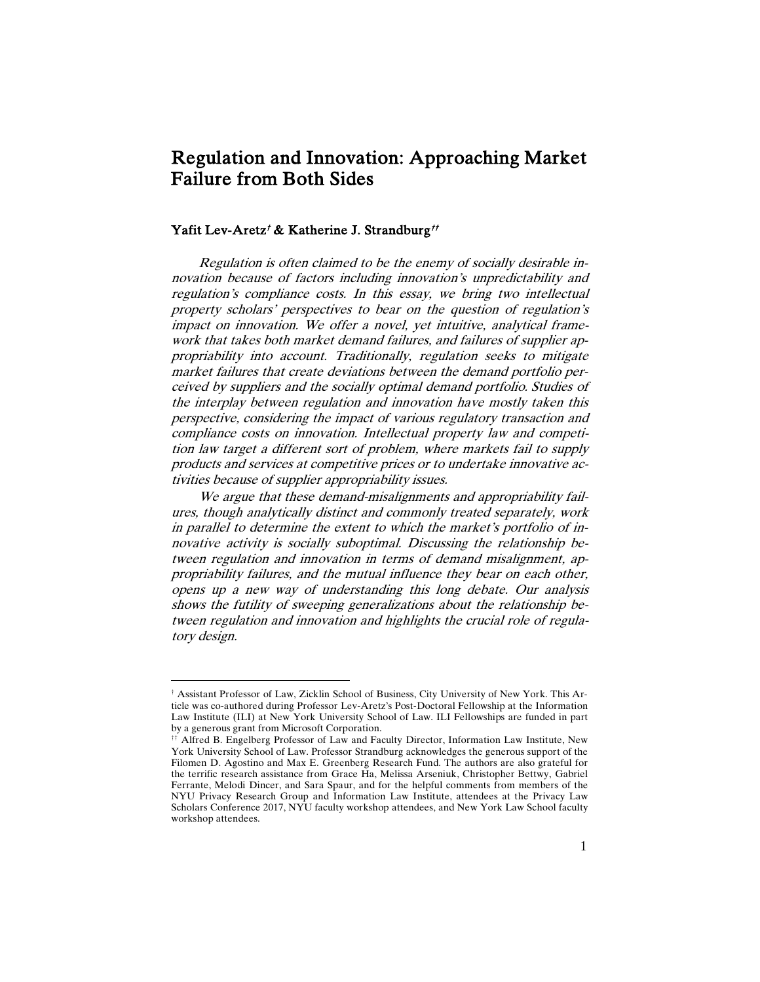# Regulation and Innovation: Approaching Market Failure from Both Sides

## Yafit Lev-Aretz<sup>†</sup> & Katherine J. Strandburg<sup>††</sup>

Regulation is often claimed to be the enemy of socially desirable innovation because of factors including innovation's unpredictability and regulation's compliance costs. In this essay, we bring two intellectual property scholars' perspectives to bear on the question of regulation's impact on innovation. We offer a novel, yet intuitive, analytical framework that takes both market demand failures, and failures of supplier appropriability into account. Traditionally, regulation seeks to mitigate market failures that create deviations between the demand portfolio perceived by suppliers and the socially optimal demand portfolio. Studies of the interplay between regulation and innovation have mostly taken this perspective, considering the impact of various regulatory transaction and compliance costs on innovation. Intellectual property law and competition law target a different sort of problem, where markets fail to supply products and services at competitive prices or to undertake innovative activities because of supplier appropriability issues.

We argue that these demand-misalignments and appropriability failures, though analytically distinct and commonly treated separately, work in parallel to determine the extent to which the market's portfolio of innovative activity is socially suboptimal. Discussing the relationship between regulation and innovation in terms of demand misalignment, appropriability failures, and the mutual influence they bear on each other, opens up a new way of understanding this long debate. Our analysis shows the futility of sweeping generalizations about the relationship between regulation and innovation and highlights the crucial role of regulatory design.

<sup>†</sup> Assistant Professor of Law, Zicklin School of Business, City University of New York. This Article was co-authored during Professor Lev-Aretz's Post-Doctoral Fellowship at the Information Law Institute (ILI) at New York University School of Law. ILI Fellowships are funded in part by a generous grant from Microsoft Corporation.

<sup>††</sup> Alfred B. Engelberg Professor of Law and Faculty Director, Information Law Institute, New York University School of Law. Professor Strandburg acknowledges the generous support of the Filomen D. Agostino and Max E. Greenberg Research Fund. The authors are also grateful for the terrific research assistance from Grace Ha, Melissa Arseniuk, Christopher Bettwy, Gabriel Ferrante, Melodi Dincer, and Sara Spaur, and for the helpful comments from members of the NYU Privacy Research Group and Information Law Institute, attendees at the Privacy Law Scholars Conference 2017, NYU faculty workshop attendees, and New York Law School faculty workshop attendees.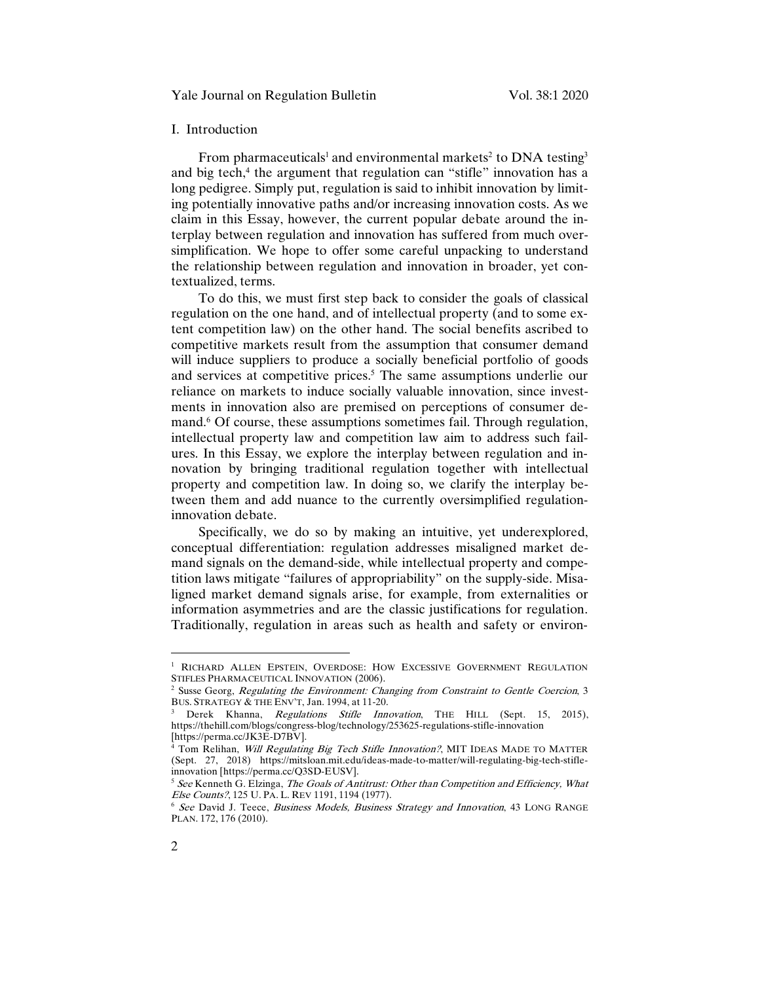## Yale Journal on Regulation Bulletin Vol. 38:1 2020

#### I. Introduction

From pharmaceuticals<sup>1</sup> and environmental markets<sup>2</sup> to DNA testing<sup>3</sup> and big tech,<sup>4</sup> the argument that regulation can "stifle" innovation has a long pedigree. Simply put, regulation is said to inhibit innovation by limiting potentially innovative paths and/or increasing innovation costs. As we claim in this Essay, however, the current popular debate around the interplay between regulation and innovation has suffered from much oversimplification. We hope to offer some careful unpacking to understand the relationship between regulation and innovation in broader, yet contextualized, terms.

To do this, we must first step back to consider the goals of classical regulation on the one hand, and of intellectual property (and to some extent competition law) on the other hand. The social benefits ascribed to competitive markets result from the assumption that consumer demand will induce suppliers to produce a socially beneficial portfolio of goods and services at competitive prices.<sup>5</sup> The same assumptions underlie our reliance on markets to induce socially valuable innovation, since investments in innovation also are premised on perceptions of consumer demand.<sup>6</sup> Of course, these assumptions sometimes fail. Through regulation, intellectual property law and competition law aim to address such failures. In this Essay, we explore the interplay between regulation and innovation by bringing traditional regulation together with intellectual property and competition law. In doing so, we clarify the interplay between them and add nuance to the currently oversimplified regulationinnovation debate.

Specifically, we do so by making an intuitive, yet underexplored, conceptual differentiation: regulation addresses misaligned market demand signals on the demand-side, while intellectual property and competition laws mitigate "failures of appropriability" on the supply-side. Misaligned market demand signals arise, for example, from externalities or information asymmetries and are the classic justifications for regulation. Traditionally, regulation in areas such as health and safety or environ-

<sup>&</sup>lt;sup>1</sup> RICHARD ALLEN EPSTEIN, OVERDOSE: HOW EXCESSIVE GOVERNMENT REGULATION STIFLES PHARMACEUTICAL INNOVATION (2006).

 $<sup>2</sup>$  Susse Georg, Regulating the Environment: Changing from Constraint to Gentle Coercion, 3</sup> BUS. STRATEGY & THE ENV'T, Jan. 1994, at 11-20.

Derek Khanna, Regulations Stifle Innovation, THE HILL (Sept. 15, 2015), https://thehill.com/blogs/congress-blog/technology/253625-regulations-stifle-innovation

 $^{4}$  Tom Relihan, Will Regulating Big Tech Stifle Innovation?, MIT IDEAS MADE TO MATTER (Sept. 27, 2018) https://mitsloan.mit.edu/ideas-made-to-matter/will-regulating-big-tech-stifleinnovation [https://perma.cc/Q3SD-EUSV].

 $5$  See Kenneth G. Elzinga, The Goals of Antitrust: Other than Competition and Efficiency, What Else Counts?, 125 U. PA. L. REV 1191, 1194 (1977).

<sup>&</sup>lt;sup>6</sup> See David J. Teece, Business Models, Business Strategy and Innovation, 43 LONG RANGE PLAN. 172, 176 (2010).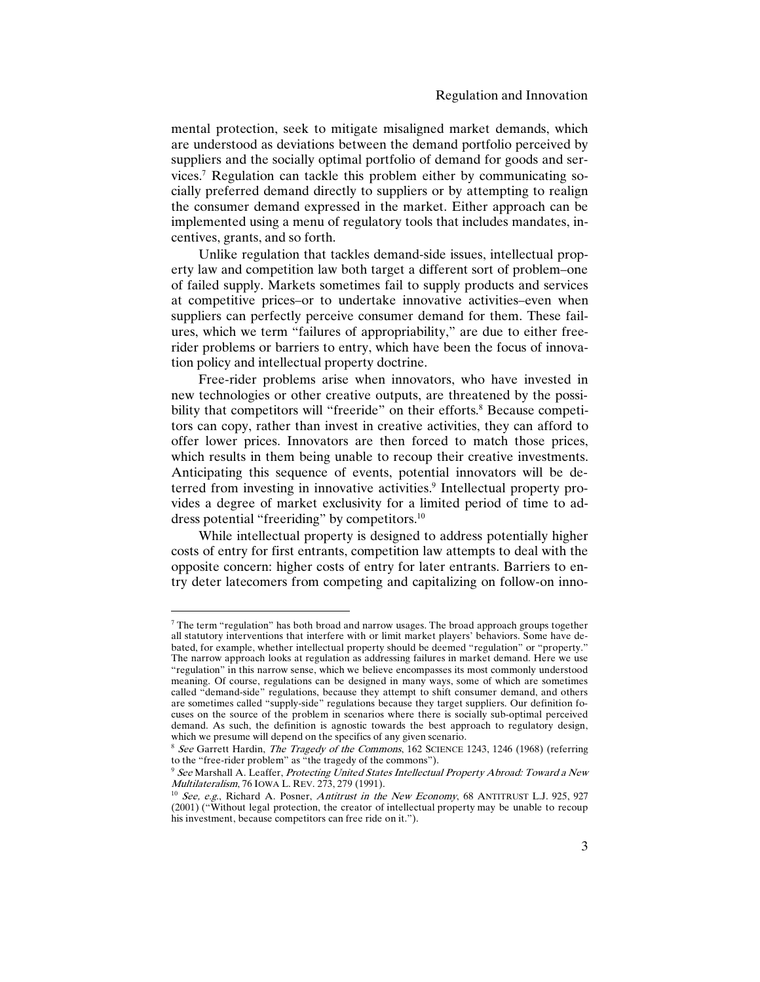mental protection, seek to mitigate misaligned market demands, which are understood as deviations between the demand portfolio perceived by suppliers and the socially optimal portfolio of demand for goods and services.<sup>7</sup> Regulation can tackle this problem either by communicating socially preferred demand directly to suppliers or by attempting to realign the consumer demand expressed in the market. Either approach can be implemented using a menu of regulatory tools that includes mandates, incentives, grants, and so forth.

Unlike regulation that tackles demand-side issues, intellectual property law and competition law both target a different sort of problem–one of failed supply. Markets sometimes fail to supply products and services at competitive prices–or to undertake innovative activities–even when suppliers can perfectly perceive consumer demand for them. These failures, which we term "failures of appropriability," are due to either freerider problems or barriers to entry, which have been the focus of innovation policy and intellectual property doctrine.

Free-rider problems arise when innovators, who have invested in new technologies or other creative outputs, are threatened by the possibility that competitors will "freeride" on their efforts.<sup>8</sup> Because competitors can copy, rather than invest in creative activities, they can afford to offer lower prices. Innovators are then forced to match those prices, which results in them being unable to recoup their creative investments. Anticipating this sequence of events, potential innovators will be deterred from investing in innovative activities.<sup>9</sup> Intellectual property provides a degree of market exclusivity for a limited period of time to address potential "freeriding" by competitors.<sup>10</sup>

While intellectual property is designed to address potentially higher costs of entry for first entrants, competition law attempts to deal with the opposite concern: higher costs of entry for later entrants. Barriers to entry deter latecomers from competing and capitalizing on follow-on inno-

 $<sup>7</sup>$  The term "regulation" has both broad and narrow usages. The broad approach groups together</sup> all statutory interventions that interfere with or limit market players' behaviors. Some have debated, for example, whether intellectual property should be deemed "regulation" or "property." The narrow approach looks at regulation as addressing failures in market demand. Here we use "regulation" in this narrow sense, which we believe encompasses its most commonly understood meaning. Of course, regulations can be designed in many ways, some of which are sometimes called "demand-side" regulations, because they attempt to shift consumer demand, and others are sometimes called "supply-side" regulations because they target suppliers. Our definition focuses on the source of the problem in scenarios where there is socially sub-optimal perceived demand. As such, the definition is agnostic towards the best approach to regulatory design, which we presume will depend on the specifics of any given scenario.

<sup>&</sup>lt;sup>8</sup> See Garrett Hardin, The Tragedy of the Commons, 162 SCIENCE 1243, 1246 (1968) (referring to the "free-rider problem" as "the tragedy of the commons").

<sup>&</sup>lt;sup>9</sup> See Marshall A. Leaffer, Protecting United States Intellectual Property Abroad: Toward a New Multilateralism, 76 IOWA L. REV. 273, 279 (1991).

 $10$  See, e.g., Richard A. Posner, Antitrust in the New Economy, 68 ANTITRUST L.J. 925, 927 (2001) ("Without legal protection, the creator of intellectual property may be unable to recoup his investment, because competitors can free ride on it.").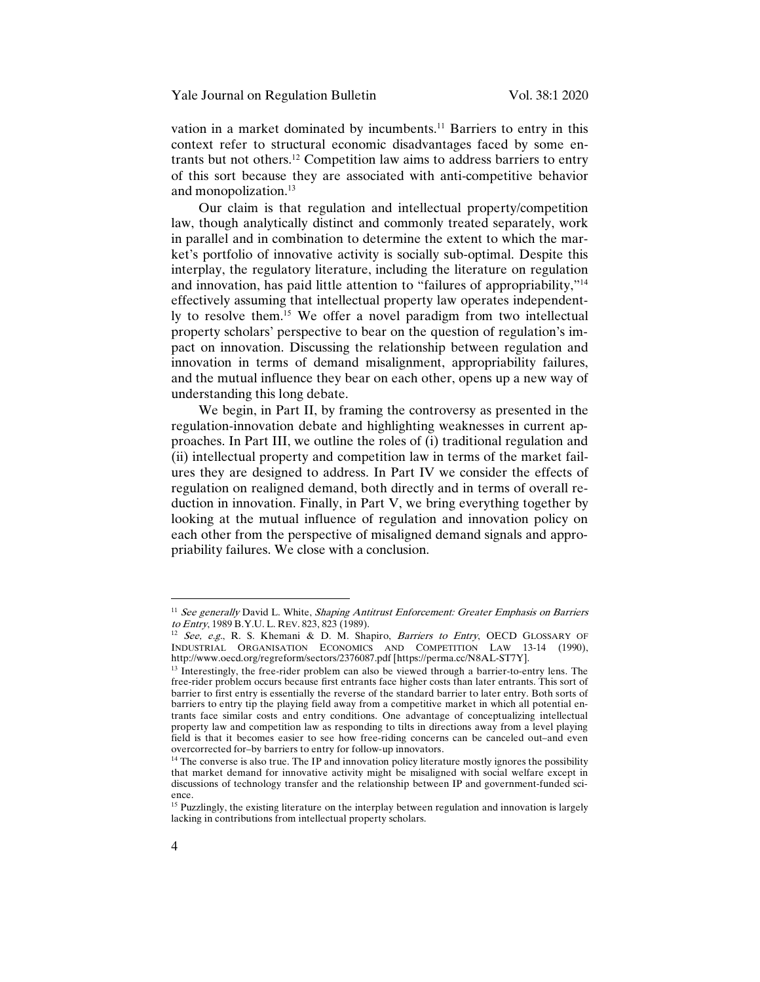vation in a market dominated by incumbents.<sup>11</sup> Barriers to entry in this context refer to structural economic disadvantages faced by some entrants but not others.<sup>12</sup> Competition law aims to address barriers to entry of this sort because they are associated with anti-competitive behavior and monopolization.<sup>13</sup>

Our claim is that regulation and intellectual property/competition law, though analytically distinct and commonly treated separately, work in parallel and in combination to determine the extent to which the market's portfolio of innovative activity is socially sub-optimal. Despite this interplay, the regulatory literature, including the literature on regulation and innovation, has paid little attention to "failures of appropriability,"<sup>14</sup> effectively assuming that intellectual property law operates independently to resolve them.<sup>15</sup> We offer a novel paradigm from two intellectual property scholars' perspective to bear on the question of regulation's impact on innovation. Discussing the relationship between regulation and innovation in terms of demand misalignment, appropriability failures, and the mutual influence they bear on each other, opens up a new way of understanding this long debate.

We begin, in Part II, by framing the controversy as presented in the regulation-innovation debate and highlighting weaknesses in current approaches. In Part III, we outline the roles of (i) traditional regulation and (ii) intellectual property and competition law in terms of the market failures they are designed to address. In Part IV we consider the effects of regulation on realigned demand, both directly and in terms of overall reduction in innovation. Finally, in Part V, we bring everything together by looking at the mutual influence of regulation and innovation policy on each other from the perspective of misaligned demand signals and appropriability failures. We close with a conclusion.

 $11$  See generally David L. White, Shaping Antitrust Enforcement: Greater Emphasis on Barriers to Entry, 1989 B.Y.U. L. REV. 823, 823 (1989).

<sup>&</sup>lt;sup>12</sup> See, e.g., R. S. Khemani & D. M. Shapiro, Barriers to Entry, OECD GLOSSARY OF INDUSTRIAL ORGANISATION ECONOMICS AND COMPETITION LAW 13-14 (1990), http://www.oecd.org/regreform/sectors/2376087.pdf [https://perma.cc/N8AL-ST7Y].

<sup>&</sup>lt;sup>13</sup> Interestingly, the free-rider problem can also be viewed through a barrier-to-entry lens. The free-rider problem occurs because first entrants face higher costs than later entrants. This sort of barrier to first entry is essentially the reverse of the standard barrier to later entry. Both sorts of barriers to entry tip the playing field away from a competitive market in which all potential entrants face similar costs and entry conditions. One advantage of conceptualizing intellectual property law and competition law as responding to tilts in directions away from a level playing field is that it becomes easier to see how free-riding concerns can be canceled out–and even overcorrected for–by barriers to entry for follow-up innovators.

<sup>&</sup>lt;sup>14</sup> The converse is also true. The IP and innovation policy literature mostly ignores the possibility that market demand for innovative activity might be misaligned with social welfare except in discussions of technology transfer and the relationship between IP and government-funded science.

<sup>&</sup>lt;sup>15</sup> Puzzlingly, the existing literature on the interplay between regulation and innovation is largely lacking in contributions from intellectual property scholars.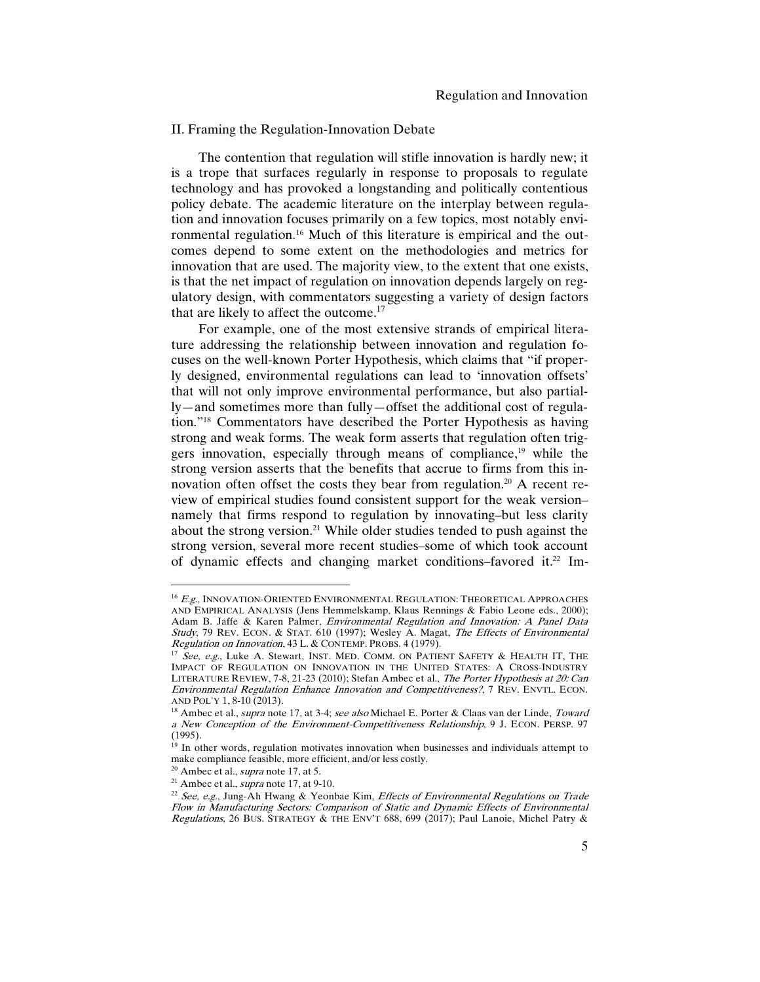#### II. Framing the Regulation-Innovation Debate

The contention that regulation will stifle innovation is hardly new; it is a trope that surfaces regularly in response to proposals to regulate technology and has provoked a longstanding and politically contentious policy debate. The academic literature on the interplay between regulation and innovation focuses primarily on a few topics, most notably environmental regulation.16 Much of this literature is empirical and the outcomes depend to some extent on the methodologies and metrics for innovation that are used. The majority view, to the extent that one exists, is that the net impact of regulation on innovation depends largely on regulatory design, with commentators suggesting a variety of design factors that are likely to affect the outcome.<sup>17</sup>

For example, one of the most extensive strands of empirical literature addressing the relationship between innovation and regulation focuses on the well-known Porter Hypothesis, which claims that "if properly designed, environmental regulations can lead to 'innovation offsets' that will not only improve environmental performance, but also partially—and sometimes more than fully—offset the additional cost of regulation."18 Commentators have described the Porter Hypothesis as having strong and weak forms. The weak form asserts that regulation often triggers innovation, especially through means of compliance,<sup>19</sup> while the strong version asserts that the benefits that accrue to firms from this innovation often offset the costs they bear from regulation.<sup>20</sup> A recent review of empirical studies found consistent support for the weak version– namely that firms respond to regulation by innovating–but less clarity about the strong version.<sup>21</sup> While older studies tended to push against the strong version, several more recent studies–some of which took account of dynamic effects and changing market conditions–favored it.22 Im-

<sup>&</sup>lt;sup>16</sup> E.g., INNOVATION-ORIENTED ENVIRONMENTAL REGULATION: THEORETICAL APPROACHES AND EMPIRICAL ANALYSIS (Jens Hemmelskamp, Klaus Rennings & Fabio Leone eds., 2000); Adam B. Jaffe & Karen Palmer, *Environmental Regulation and Innovation: A Panel Data* Study, 79 REV. ECON. & STAT. 610 (1997); Wesley A. Magat, The Effects of Environmental Regulation on Innovation, 43 L. & CONTEMP. PROBS. 4 (1979).

 $17$  See, e.g., Luke A. Stewart, INST. MED. COMM. ON PATIENT SAFETY & HEALTH IT, THE IMPACT OF REGULATION ON INNOVATION IN THE UNITED STATES: A CROSS-INDUSTRY LITERATURE REVIEW, 7-8, 21-23 (2010); Stefan Ambec et al., The Porter Hypothesis at 20: Can Environmental Regulation Enhance Innovation and Competitiveness?, 7 REV. ENVTL. ECON. AND POL'Y 1, 8-10 (2013).

<sup>&</sup>lt;sup>18</sup> Ambec et al., *supra* note 17, at 3-4; see also Michael E. Porter & Claas van der Linde, Toward a New Conception of the Environment-Competitiveness Relationship, 9 J. ECON. PERSP. 97 (1995).

 $19$  In other words, regulation motivates innovation when businesses and individuals attempt to make compliance feasible, more efficient, and/or less costly.

 $^{20}$  Ambec et al., *supra* note 17, at 5.

<sup>&</sup>lt;sup>21</sup> Ambec et al., *supra* note 17, at 9-10.

<sup>&</sup>lt;sup>22</sup> See, e.g., Jung-Ah Hwang & Yeonbae Kim, Effects of Environmental Regulations on Trade Flow in Manufacturing Sectors: Comparison of Static and Dynamic Effects of Environmental Regulations, 26 BUS. STRATEGY & THE ENV'T 688, 699 (2017); Paul Lanoie, Michel Patry &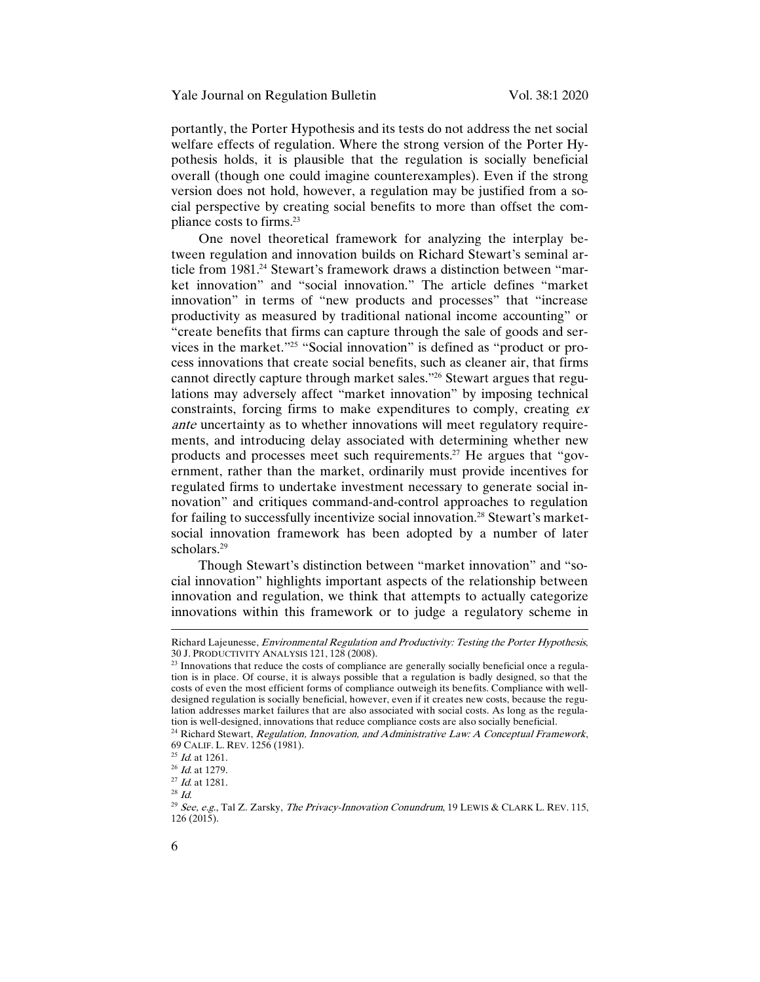portantly, the Porter Hypothesis and its tests do not address the net social welfare effects of regulation. Where the strong version of the Porter Hypothesis holds, it is plausible that the regulation is socially beneficial overall (though one could imagine counterexamples). Even if the strong version does not hold, however, a regulation may be justified from a social perspective by creating social benefits to more than offset the compliance costs to firms.23

One novel theoretical framework for analyzing the interplay between regulation and innovation builds on Richard Stewart's seminal article from 1981.<sup>24</sup> Stewart's framework draws a distinction between "market innovation" and "social innovation." The article defines "market innovation" in terms of "new products and processes" that "increase productivity as measured by traditional national income accounting" or "create benefits that firms can capture through the sale of goods and services in the market."25 "Social innovation" is defined as "product or process innovations that create social benefits, such as cleaner air, that firms cannot directly capture through market sales."26 Stewart argues that regulations may adversely affect "market innovation" by imposing technical constraints, forcing firms to make expenditures to comply, creating ex ante uncertainty as to whether innovations will meet regulatory requirements, and introducing delay associated with determining whether new products and processes meet such requirements.27 He argues that "government, rather than the market, ordinarily must provide incentives for regulated firms to undertake investment necessary to generate social innovation" and critiques command-and-control approaches to regulation for failing to successfully incentivize social innovation.<sup>28</sup> Stewart's marketsocial innovation framework has been adopted by a number of later scholars.<sup>29</sup>

Though Stewart's distinction between "market innovation" and "social innovation" highlights important aspects of the relationship between innovation and regulation, we think that attempts to actually categorize innovations within this framework or to judge a regulatory scheme in

Richard Lajeunesse, *Environmental Regulation and Productivity: Testing the Porter Hypothesis*, 30 J. PRODUCTIVITY ANALYSIS 121, 128 (2008).

<sup>&</sup>lt;sup>23</sup> Innovations that reduce the costs of compliance are generally socially beneficial once a regulation is in place. Of course, it is always possible that a regulation is badly designed, so that the costs of even the most efficient forms of compliance outweigh its benefits. Compliance with welldesigned regulation is socially beneficial, however, even if it creates new costs, because the regulation addresses market failures that are also associated with social costs. As long as the regulation is well-designed, innovations that reduce compliance costs are also socially beneficial.<br><sup>24</sup> Richard Stewart, *Regulation, Innovation, and Administrative Law: A Conceptual Framework*,

<sup>69</sup> CALIF. L. REV. 1256 (1981).<br><sup>25</sup> *Id.* at 1261.

<sup>&</sup>lt;sup>26</sup> *Id.* at 1279.<br><sup>27</sup> *Id.* at 1281.<br><sup>28</sup> *Id.* 

<sup>&</sup>lt;sup>29</sup> See, e.g., Tal Z. Zarsky, The Privacy-Innovation Conundrum, 19 LEWIS & CLARK L. REV. 115, 126 (2015).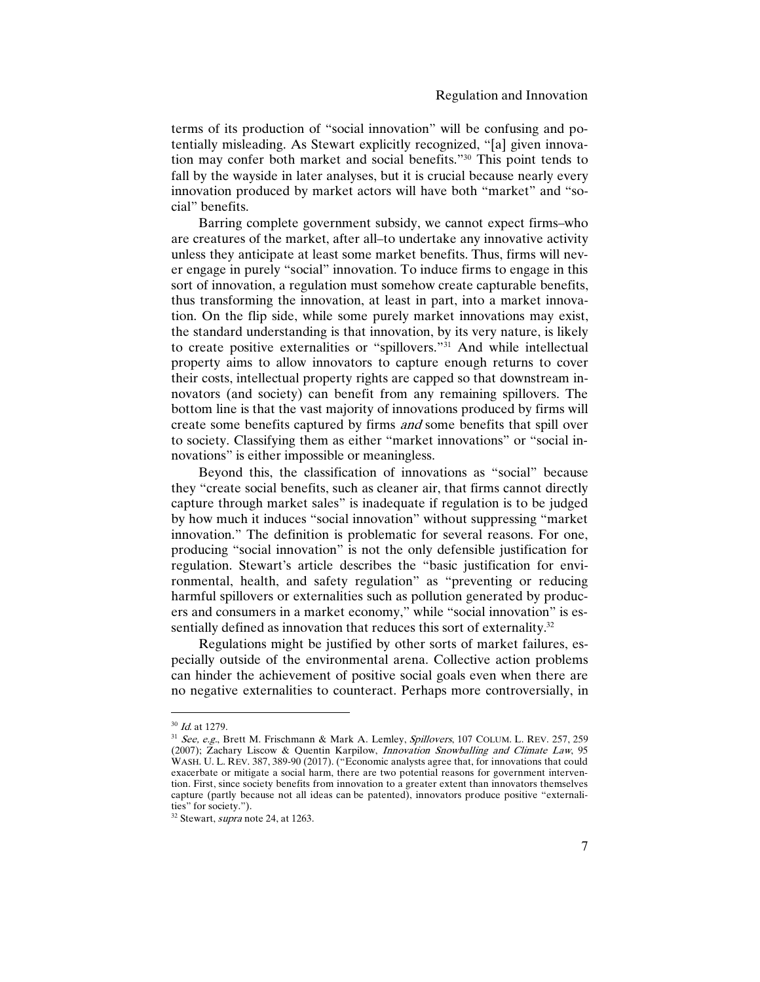terms of its production of "social innovation" will be confusing and potentially misleading. As Stewart explicitly recognized, "[a] given innovation may confer both market and social benefits."30 This point tends to fall by the wayside in later analyses, but it is crucial because nearly every innovation produced by market actors will have both "market" and "social" benefits.

Barring complete government subsidy, we cannot expect firms–who are creatures of the market, after all–to undertake any innovative activity unless they anticipate at least some market benefits. Thus, firms will never engage in purely "social" innovation. To induce firms to engage in this sort of innovation, a regulation must somehow create capturable benefits, thus transforming the innovation, at least in part, into a market innovation. On the flip side, while some purely market innovations may exist, the standard understanding is that innovation, by its very nature, is likely to create positive externalities or "spillovers."31 And while intellectual property aims to allow innovators to capture enough returns to cover their costs, intellectual property rights are capped so that downstream innovators (and society) can benefit from any remaining spillovers. The bottom line is that the vast majority of innovations produced by firms will create some benefits captured by firms and some benefits that spill over to society. Classifying them as either "market innovations" or "social innovations" is either impossible or meaningless.

Beyond this, the classification of innovations as "social" because they "create social benefits, such as cleaner air, that firms cannot directly capture through market sales" is inadequate if regulation is to be judged by how much it induces "social innovation" without suppressing "market innovation." The definition is problematic for several reasons. For one, producing "social innovation" is not the only defensible justification for regulation. Stewart's article describes the "basic justification for environmental, health, and safety regulation" as "preventing or reducing harmful spillovers or externalities such as pollution generated by producers and consumers in a market economy," while "social innovation" is essentially defined as innovation that reduces this sort of externality.<sup>32</sup>

Regulations might be justified by other sorts of market failures, especially outside of the environmental arena. Collective action problems can hinder the achievement of positive social goals even when there are no negative externalities to counteract. Perhaps more controversially, in

<sup>&</sup>lt;sup>30</sup> *Id.* at 1279.

<sup>31</sup> See, e.g., Brett M. Frischmann & Mark A. Lemley, Spillovers, 107 COLUM. L. REV. 257, 259 (2007); Zachary Liscow & Quentin Karpilow, *Innovation Snowballing and Climate Law*, 95 WASH. U. L. REV. 387, 389-90 (2017). ("Economic analysts agree that, for innovations that could exacerbate or mitigate a social harm, there are two potential reasons for government intervention. First, since society benefits from innovation to a greater extent than innovators themselves capture (partly because not all ideas can be patented), innovators produce positive "externalities" for society.").

 $32$  Stewart, *supra* note 24, at 1263.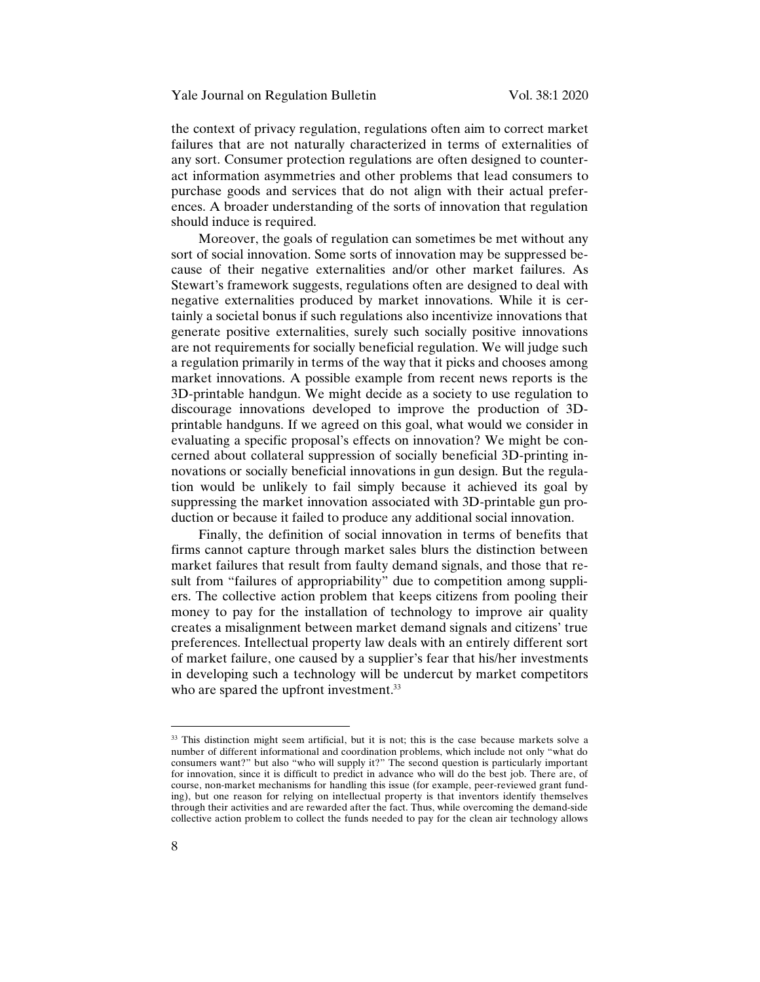the context of privacy regulation, regulations often aim to correct market failures that are not naturally characterized in terms of externalities of any sort. Consumer protection regulations are often designed to counteract information asymmetries and other problems that lead consumers to purchase goods and services that do not align with their actual preferences. A broader understanding of the sorts of innovation that regulation should induce is required.

Moreover, the goals of regulation can sometimes be met without any sort of social innovation. Some sorts of innovation may be suppressed because of their negative externalities and/or other market failures. As Stewart's framework suggests, regulations often are designed to deal with negative externalities produced by market innovations. While it is certainly a societal bonus if such regulations also incentivize innovations that generate positive externalities, surely such socially positive innovations are not requirements for socially beneficial regulation. We will judge such a regulation primarily in terms of the way that it picks and chooses among market innovations. A possible example from recent news reports is the 3D-printable handgun. We might decide as a society to use regulation to discourage innovations developed to improve the production of 3Dprintable handguns. If we agreed on this goal, what would we consider in evaluating a specific proposal's effects on innovation? We might be concerned about collateral suppression of socially beneficial 3D-printing innovations or socially beneficial innovations in gun design. But the regulation would be unlikely to fail simply because it achieved its goal by suppressing the market innovation associated with 3D-printable gun production or because it failed to produce any additional social innovation.

Finally, the definition of social innovation in terms of benefits that firms cannot capture through market sales blurs the distinction between market failures that result from faulty demand signals, and those that result from "failures of appropriability" due to competition among suppliers. The collective action problem that keeps citizens from pooling their money to pay for the installation of technology to improve air quality creates a misalignment between market demand signals and citizens' true preferences. Intellectual property law deals with an entirely different sort of market failure, one caused by a supplier's fear that his/her investments in developing such a technology will be undercut by market competitors who are spared the upfront investment.<sup>33</sup>

<sup>&</sup>lt;sup>33</sup> This distinction might seem artificial, but it is not; this is the case because markets solve a number of different informational and coordination problems, which include not only "what do consumers want?" but also "who will supply it?" The second question is particularly important for innovation, since it is difficult to predict in advance who will do the best job. There are, of course, non-market mechanisms for handling this issue (for example, peer-reviewed grant funding), but one reason for relying on intellectual property is that inventors identify themselves through their activities and are rewarded after the fact. Thus, while overcoming the demand-side collective action problem to collect the funds needed to pay for the clean air technology allows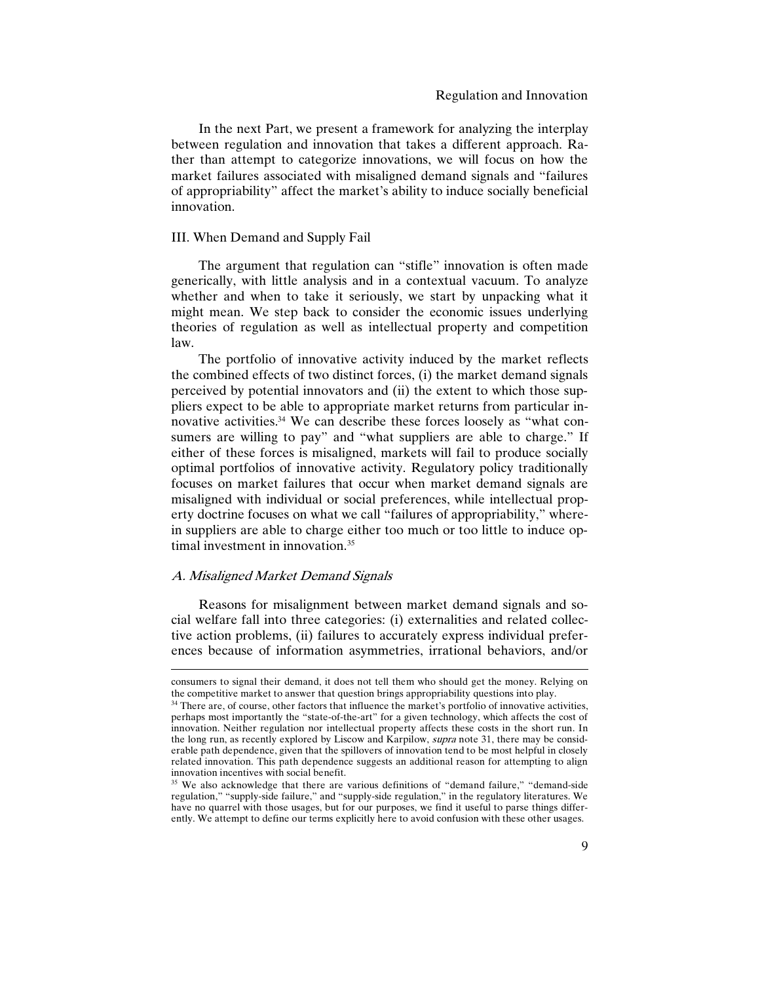In the next Part, we present a framework for analyzing the interplay between regulation and innovation that takes a different approach. Rather than attempt to categorize innovations, we will focus on how the market failures associated with misaligned demand signals and "failures of appropriability" affect the market's ability to induce socially beneficial innovation.

#### III. When Demand and Supply Fail

The argument that regulation can "stifle" innovation is often made generically, with little analysis and in a contextual vacuum. To analyze whether and when to take it seriously, we start by unpacking what it might mean. We step back to consider the economic issues underlying theories of regulation as well as intellectual property and competition law.

The portfolio of innovative activity induced by the market reflects the combined effects of two distinct forces, (i) the market demand signals perceived by potential innovators and (ii) the extent to which those suppliers expect to be able to appropriate market returns from particular innovative activities.<sup>34</sup> We can describe these forces loosely as "what consumers are willing to pay" and "what suppliers are able to charge." If either of these forces is misaligned, markets will fail to produce socially optimal portfolios of innovative activity. Regulatory policy traditionally focuses on market failures that occur when market demand signals are misaligned with individual or social preferences, while intellectual property doctrine focuses on what we call "failures of appropriability," wherein suppliers are able to charge either too much or too little to induce optimal investment in innovation.<sup>35</sup>

#### A. Misaligned Market Demand Signals

 $\overline{a}$ 

Reasons for misalignment between market demand signals and social welfare fall into three categories: (i) externalities and related collective action problems, (ii) failures to accurately express individual preferences because of information asymmetries, irrational behaviors, and/or

consumers to signal their demand, it does not tell them who should get the money. Relying on the competitive market to answer that question brings appropriability questions into play.

<sup>&</sup>lt;sup>34</sup> There are, of course, other factors that influence the market's portfolio of innovative activities, perhaps most importantly the "state-of-the-art" for a given technology, which affects the cost of innovation. Neither regulation nor intellectual property affects these costs in the short run. In the long run, as recently explored by Liscow and Karpilow, *supra* note 31, there may be considerable path dependence, given that the spillovers of innovation tend to be most helpful in closely related innovation. This path dependence suggests an additional reason for attempting to align innovation incentives with social benefit.

<sup>&</sup>lt;sup>35</sup> We also acknowledge that there are various definitions of "demand failure," "demand-side regulation," "supply-side failure," and "supply-side regulation," in the regulatory literatures. We have no quarrel with those usages, but for our purposes, we find it useful to parse things differently. We attempt to define our terms explicitly here to avoid confusion with these other usages.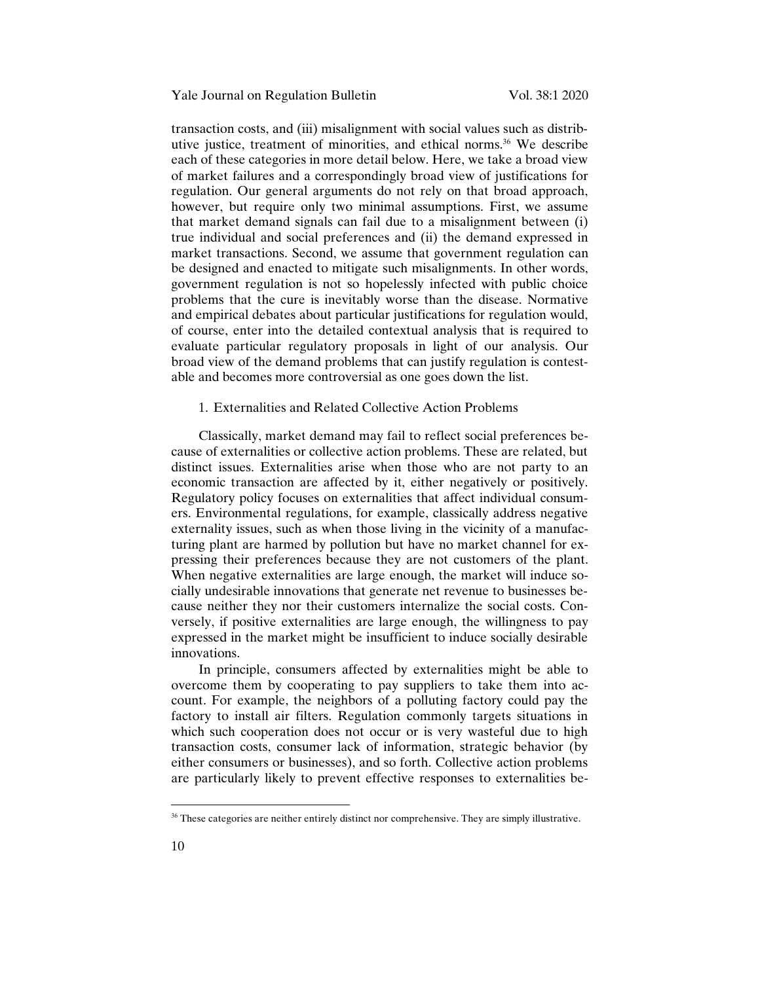transaction costs, and (iii) misalignment with social values such as distributive justice, treatment of minorities, and ethical norms.<sup>36</sup> We describe each of these categories in more detail below. Here, we take a broad view of market failures and a correspondingly broad view of justifications for regulation. Our general arguments do not rely on that broad approach, however, but require only two minimal assumptions. First, we assume that market demand signals can fail due to a misalignment between (i) true individual and social preferences and (ii) the demand expressed in market transactions. Second, we assume that government regulation can be designed and enacted to mitigate such misalignments. In other words, government regulation is not so hopelessly infected with public choice problems that the cure is inevitably worse than the disease. Normative and empirical debates about particular justifications for regulation would, of course, enter into the detailed contextual analysis that is required to evaluate particular regulatory proposals in light of our analysis. Our broad view of the demand problems that can justify regulation is contestable and becomes more controversial as one goes down the list.

#### 1. Externalities and Related Collective Action Problems

Classically, market demand may fail to reflect social preferences because of externalities or collective action problems. These are related, but distinct issues. Externalities arise when those who are not party to an economic transaction are affected by it, either negatively or positively. Regulatory policy focuses on externalities that affect individual consumers. Environmental regulations, for example, classically address negative externality issues, such as when those living in the vicinity of a manufacturing plant are harmed by pollution but have no market channel for expressing their preferences because they are not customers of the plant. When negative externalities are large enough, the market will induce socially undesirable innovations that generate net revenue to businesses because neither they nor their customers internalize the social costs. Conversely, if positive externalities are large enough, the willingness to pay expressed in the market might be insufficient to induce socially desirable innovations.

In principle, consumers affected by externalities might be able to overcome them by cooperating to pay suppliers to take them into account. For example, the neighbors of a polluting factory could pay the factory to install air filters. Regulation commonly targets situations in which such cooperation does not occur or is very wasteful due to high transaction costs, consumer lack of information, strategic behavior (by either consumers or businesses), and so forth. Collective action problems are particularly likely to prevent effective responses to externalities be-

 $36$  These categories are neither entirely distinct nor comprehensive. They are simply illustrative.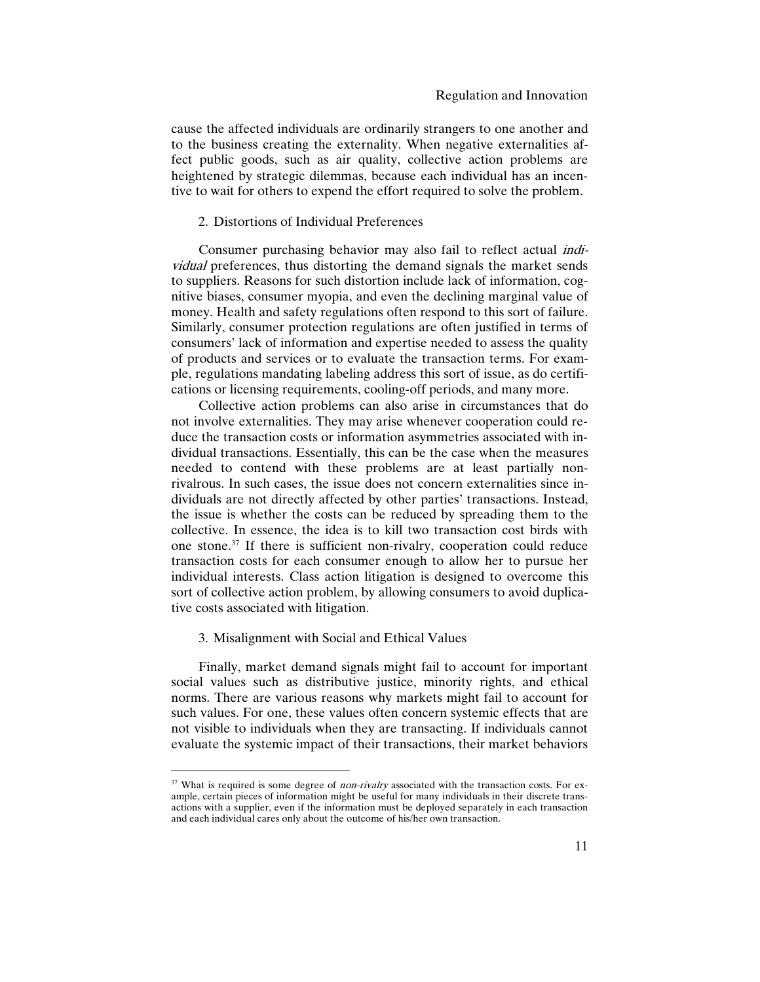cause the affected individuals are ordinarily strangers to one another and to the business creating the externality. When negative externalities affect public goods, such as air quality, collective action problems are heightened by strategic dilemmas, because each individual has an incentive to wait for others to expend the effort required to solve the problem.

## 2. Distortions of Individual Preferences

Consumer purchasing behavior may also fail to reflect actual individual preferences, thus distorting the demand signals the market sends to suppliers. Reasons for such distortion include lack of information, cognitive biases, consumer myopia, and even the declining marginal value of money. Health and safety regulations often respond to this sort of failure. Similarly, consumer protection regulations are often justified in terms of consumers' lack of information and expertise needed to assess the quality of products and services or to evaluate the transaction terms. For example, regulations mandating labeling address this sort of issue, as do certifications or licensing requirements, cooling-off periods, and many more.

Collective action problems can also arise in circumstances that do not involve externalities. They may arise whenever cooperation could reduce the transaction costs or information asymmetries associated with individual transactions. Essentially, this can be the case when the measures needed to contend with these problems are at least partially nonrivalrous. In such cases, the issue does not concern externalities since individuals are not directly affected by other parties' transactions. Instead, the issue is whether the costs can be reduced by spreading them to the collective. In essence, the idea is to kill two transaction cost birds with one stone.37 If there is sufficient non-rivalry, cooperation could reduce transaction costs for each consumer enough to allow her to pursue her individual interests. Class action litigation is designed to overcome this sort of collective action problem, by allowing consumers to avoid duplicative costs associated with litigation.

#### 3. Misalignment with Social and Ethical Values

 $\overline{a}$ 

Finally, market demand signals might fail to account for important social values such as distributive justice, minority rights, and ethical norms. There are various reasons why markets might fail to account for such values. For one, these values often concern systemic effects that are not visible to individuals when they are transacting. If individuals cannot evaluate the systemic impact of their transactions, their market behaviors

<sup>&</sup>lt;sup>37</sup> What is required is some degree of *non-rivalry* associated with the transaction costs. For example, certain pieces of information might be useful for many individuals in their discrete transactions with a supplier, even if the information must be deployed separately in each transaction and each individual cares only about the outcome of his/her own transaction.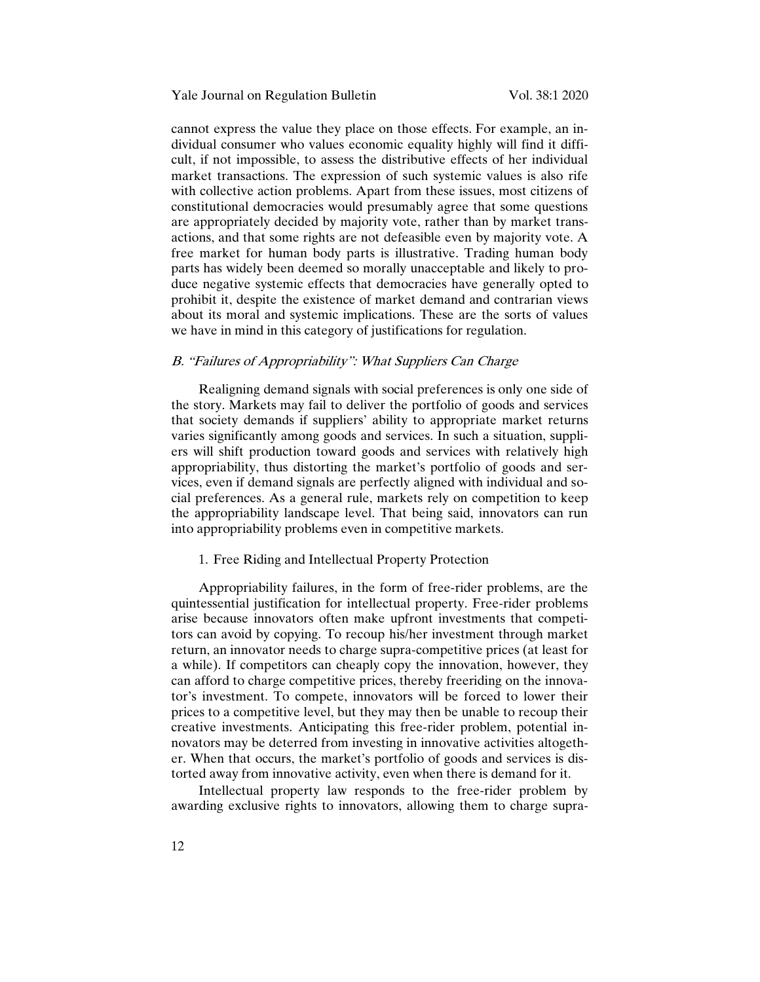cannot express the value they place on those effects. For example, an individual consumer who values economic equality highly will find it difficult, if not impossible, to assess the distributive effects of her individual market transactions. The expression of such systemic values is also rife with collective action problems. Apart from these issues, most citizens of constitutional democracies would presumably agree that some questions are appropriately decided by majority vote, rather than by market transactions, and that some rights are not defeasible even by majority vote. A free market for human body parts is illustrative. Trading human body parts has widely been deemed so morally unacceptable and likely to produce negative systemic effects that democracies have generally opted to prohibit it, despite the existence of market demand and contrarian views about its moral and systemic implications. These are the sorts of values we have in mind in this category of justifications for regulation.

# B. "Failures of Appropriability": What Suppliers Can Charge

Realigning demand signals with social preferences is only one side of the story. Markets may fail to deliver the portfolio of goods and services that society demands if suppliers' ability to appropriate market returns varies significantly among goods and services. In such a situation, suppliers will shift production toward goods and services with relatively high appropriability, thus distorting the market's portfolio of goods and services, even if demand signals are perfectly aligned with individual and social preferences. As a general rule, markets rely on competition to keep the appropriability landscape level. That being said, innovators can run into appropriability problems even in competitive markets.

#### 1. Free Riding and Intellectual Property Protection

Appropriability failures, in the form of free-rider problems, are the quintessential justification for intellectual property. Free-rider problems arise because innovators often make upfront investments that competitors can avoid by copying. To recoup his/her investment through market return, an innovator needs to charge supra-competitive prices (at least for a while). If competitors can cheaply copy the innovation, however, they can afford to charge competitive prices, thereby freeriding on the innovator's investment. To compete, innovators will be forced to lower their prices to a competitive level, but they may then be unable to recoup their creative investments. Anticipating this free-rider problem, potential innovators may be deterred from investing in innovative activities altogether. When that occurs, the market's portfolio of goods and services is distorted away from innovative activity, even when there is demand for it.

Intellectual property law responds to the free-rider problem by awarding exclusive rights to innovators, allowing them to charge supra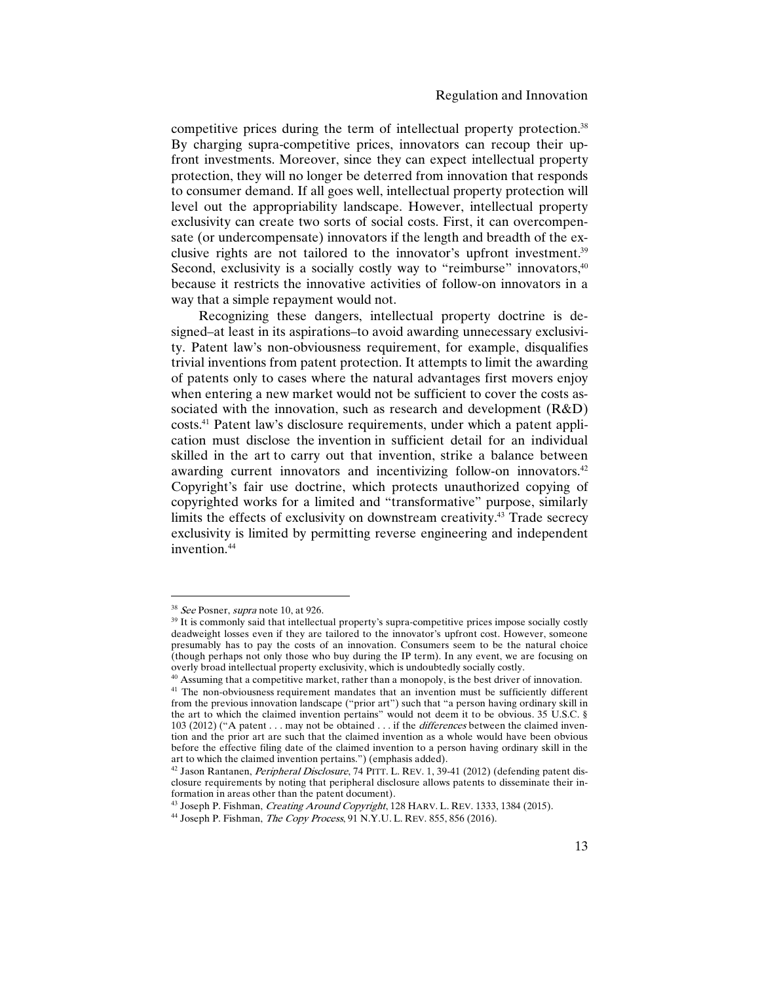competitive prices during the term of intellectual property protection.<sup>38</sup> By charging supra-competitive prices, innovators can recoup their upfront investments. Moreover, since they can expect intellectual property protection, they will no longer be deterred from innovation that responds to consumer demand. If all goes well, intellectual property protection will level out the appropriability landscape. However, intellectual property exclusivity can create two sorts of social costs. First, it can overcompensate (or undercompensate) innovators if the length and breadth of the exclusive rights are not tailored to the innovator's upfront investment.39 Second, exclusivity is a socially costly way to "reimburse" innovators,  $40$ because it restricts the innovative activities of follow-on innovators in a way that a simple repayment would not.

Recognizing these dangers, intellectual property doctrine is designed–at least in its aspirations–to avoid awarding unnecessary exclusivity. Patent law's non-obviousness requirement, for example, disqualifies trivial inventions from patent protection. It attempts to limit the awarding of patents only to cases where the natural advantages first movers enjoy when entering a new market would not be sufficient to cover the costs associated with the innovation, such as research and development (R&D) costs.41 Patent law's disclosure requirements, under which a patent application must disclose the invention in sufficient detail for an individual skilled in the art to carry out that invention, strike a balance between awarding current innovators and incentivizing follow-on innovators.<sup>42</sup> Copyright's fair use doctrine, which protects unauthorized copying of copyrighted works for a limited and "transformative" purpose, similarly limits the effects of exclusivity on downstream creativity.43 Trade secrecy exclusivity is limited by permitting reverse engineering and independent invention.44

<sup>&</sup>lt;sup>38</sup> See Posner, *supra* note 10, at 926.

<sup>&</sup>lt;sup>39</sup> It is commonly said that intellectual property's supra-competitive prices impose socially costly deadweight losses even if they are tailored to the innovator's upfront cost. However, someone presumably has to pay the costs of an innovation. Consumers seem to be the natural choice (though perhaps not only those who buy during the IP term). In any event, we are focusing on overly broad intellectual property exclusivity, which is undoubtedly socially costly.

 $40$  Assuming that a competitive market, rather than a monopoly, is the best driver of innovation.

<sup>&</sup>lt;sup>41</sup> The non-obviousness requirement mandates that an invention must be sufficiently different from the previous innovation landscape ("prior art") such that "a person having ordinary skill in the art to which the claimed invention pertains" would not deem it to be obvious. 35 U.S.C. § 103 (2012) ("A patent . . . may not be obtained . . . if the *differences* between the claimed invention and the prior art are such that the claimed invention as a whole would have been obvious before the effective filing date of the claimed invention to a person having ordinary skill in the art to which the claimed invention pertains.") (emphasis added).

<sup>&</sup>lt;sup>42</sup> Jason Rantanen, *Peripheral Disclosure*, 74 PITT. L. REV. 1, 39-41 (2012) (defending patent disclosure requirements by noting that peripheral disclosure allows patents to disseminate their information in areas other than the patent document).

<sup>&</sup>lt;sup>43</sup> Joseph P. Fishman, *Creating Around Copyright*, 128 HARV. L. REV. 1333, 1384 (2015).

 $^{44}$  Joseph P. Fishman, *The Copy Process*, 91 N.Y.U. L. REV. 855, 856 (2016).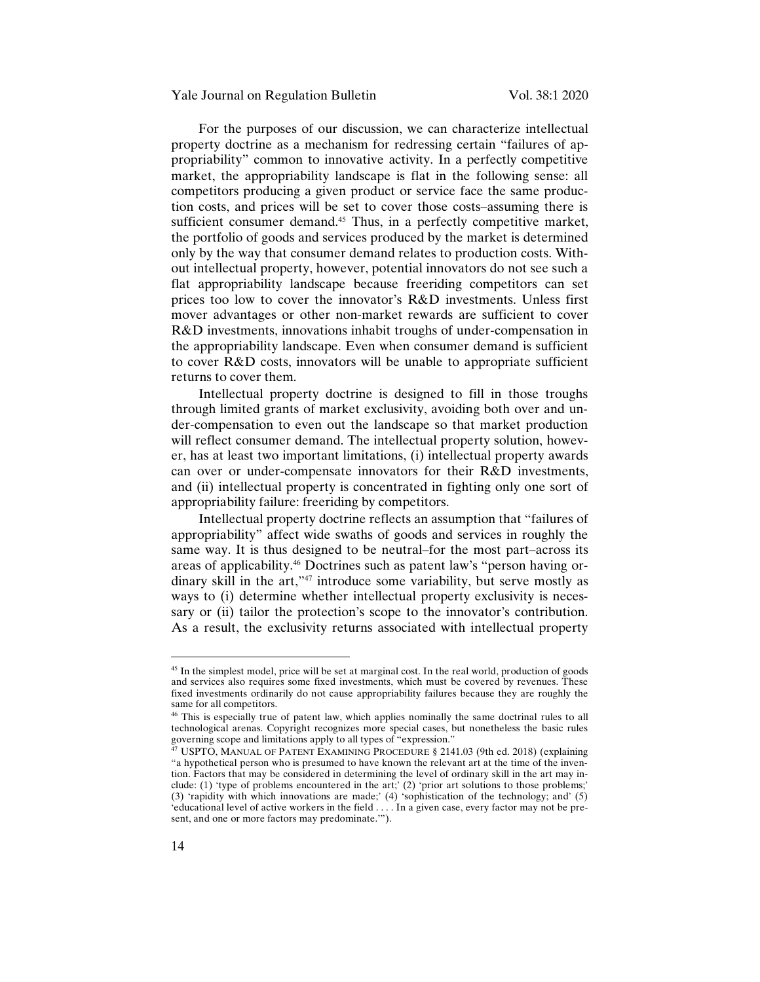#### Yale Journal on Regulation Bulletin Vol. 38:1 2020

For the purposes of our discussion, we can characterize intellectual property doctrine as a mechanism for redressing certain "failures of appropriability" common to innovative activity. In a perfectly competitive market, the appropriability landscape is flat in the following sense: all competitors producing a given product or service face the same production costs, and prices will be set to cover those costs–assuming there is sufficient consumer demand.<sup>45</sup> Thus, in a perfectly competitive market, the portfolio of goods and services produced by the market is determined only by the way that consumer demand relates to production costs. Without intellectual property, however, potential innovators do not see such a flat appropriability landscape because freeriding competitors can set prices too low to cover the innovator's R&D investments. Unless first mover advantages or other non-market rewards are sufficient to cover R&D investments, innovations inhabit troughs of under-compensation in the appropriability landscape. Even when consumer demand is sufficient to cover R&D costs, innovators will be unable to appropriate sufficient returns to cover them.

Intellectual property doctrine is designed to fill in those troughs through limited grants of market exclusivity, avoiding both over and under-compensation to even out the landscape so that market production will reflect consumer demand. The intellectual property solution, however, has at least two important limitations, (i) intellectual property awards can over or under-compensate innovators for their R&D investments, and (ii) intellectual property is concentrated in fighting only one sort of appropriability failure: freeriding by competitors.

Intellectual property doctrine reflects an assumption that "failures of appropriability" affect wide swaths of goods and services in roughly the same way. It is thus designed to be neutral–for the most part–across its areas of applicability.46 Doctrines such as patent law's "person having ordinary skill in the art,"47 introduce some variability, but serve mostly as ways to (i) determine whether intellectual property exclusivity is necessary or (ii) tailor the protection's scope to the innovator's contribution. As a result, the exclusivity returns associated with intellectual property

<sup>&</sup>lt;sup>45</sup> In the simplest model, price will be set at marginal cost. In the real world, production of goods and services also requires some fixed investments, which must be covered by revenues. These fixed investments ordinarily do not cause appropriability failures because they are roughly the same for all competitors.

<sup>&</sup>lt;sup>46</sup> This is especially true of patent law, which applies nominally the same doctrinal rules to all technological arenas. Copyright recognizes more special cases, but nonetheless the basic rules governing scope and limitations apply to all types of "expression."

<sup>&</sup>lt;sup>47</sup> USPTO, MANUAL OF PATENT EXAMINING PROCEDURE § 2141.03 (9th ed. 2018) (explaining "a hypothetical person who is presumed to have known the relevant art at the time of the invention. Factors that may be considered in determining the level of ordinary skill in the art may include: (1) 'type of problems encountered in the art;' (2) 'prior art solutions to those problems;' (3) 'rapidity with which innovations are made;' (4) 'sophistication of the technology; and' (5) 'educational level of active workers in the field . . . . In a given case, every factor may not be present, and one or more factors may predominate.'").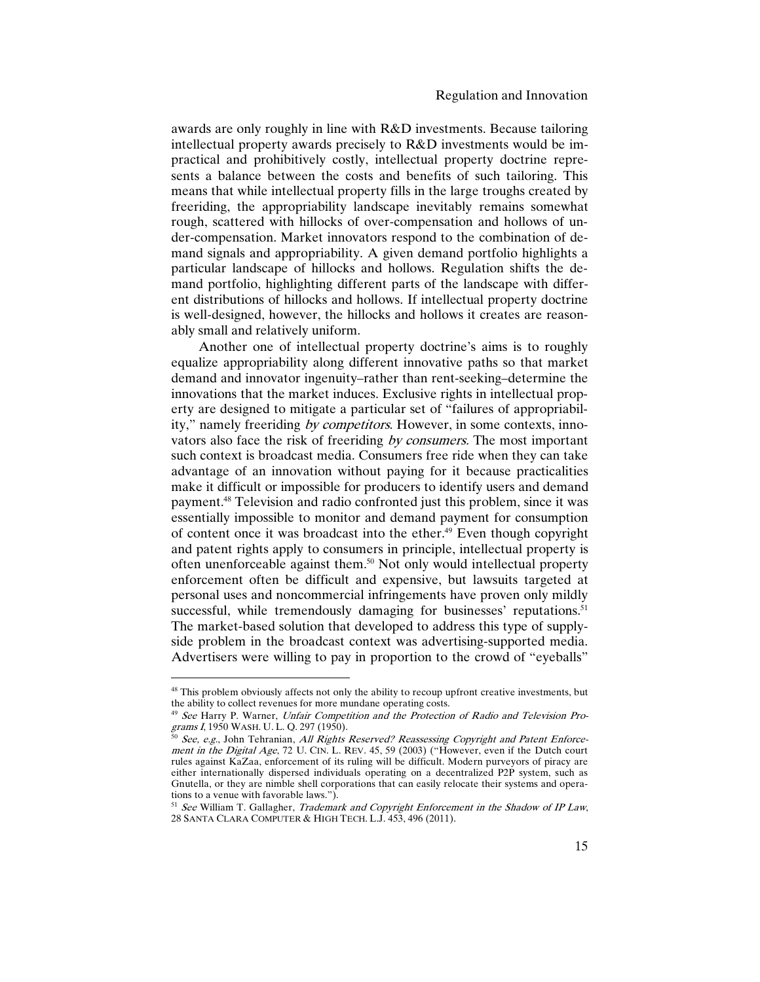awards are only roughly in line with R&D investments. Because tailoring intellectual property awards precisely to R&D investments would be impractical and prohibitively costly, intellectual property doctrine represents a balance between the costs and benefits of such tailoring. This means that while intellectual property fills in the large troughs created by freeriding, the appropriability landscape inevitably remains somewhat rough, scattered with hillocks of over-compensation and hollows of under-compensation. Market innovators respond to the combination of demand signals and appropriability. A given demand portfolio highlights a particular landscape of hillocks and hollows. Regulation shifts the demand portfolio, highlighting different parts of the landscape with different distributions of hillocks and hollows. If intellectual property doctrine is well-designed, however, the hillocks and hollows it creates are reasonably small and relatively uniform.

Another one of intellectual property doctrine's aims is to roughly equalize appropriability along different innovative paths so that market demand and innovator ingenuity–rather than rent-seeking–determine the innovations that the market induces. Exclusive rights in intellectual property are designed to mitigate a particular set of "failures of appropriability," namely freeriding by competitors. However, in some contexts, innovators also face the risk of freeriding by consumers. The most important such context is broadcast media. Consumers free ride when they can take advantage of an innovation without paying for it because practicalities make it difficult or impossible for producers to identify users and demand payment.48 Television and radio confronted just this problem, since it was essentially impossible to monitor and demand payment for consumption of content once it was broadcast into the ether.49 Even though copyright and patent rights apply to consumers in principle, intellectual property is often unenforceable against them.50 Not only would intellectual property enforcement often be difficult and expensive, but lawsuits targeted at personal uses and noncommercial infringements have proven only mildly successful, while tremendously damaging for businesses' reputations.<sup>51</sup> The market-based solution that developed to address this type of supplyside problem in the broadcast context was advertising-supported media. Advertisers were willing to pay in proportion to the crowd of "eyeballs"

<sup>&</sup>lt;sup>48</sup> This problem obviously affects not only the ability to recoup upfront creative investments, but the ability to collect revenues for more mundane operating costs.

<sup>&</sup>lt;sup>49</sup> See Harry P. Warner, Unfair Competition and the Protection of Radio and Television Programs <sup>I</sup>, 1950 WASH. U. L. Q. 297 (1950).

<sup>&</sup>lt;sup>50</sup> See, e.g., John Tehranian, All Rights Reserved? Reassessing Copyright and Patent Enforcement in the Digital Age, 72 U. CIN. L. REV. 45, 59 (2003) ("However, even if the Dutch court rules against KaZaa, enforcement of its ruling will be difficult. Modern purveyors of piracy are either internationally dispersed individuals operating on a decentralized P2P system, such as Gnutella, or they are nimble shell corporations that can easily relocate their systems and operations to a venue with favorable laws.").

 $<sup>51</sup>$  See William T. Gallagher, *Trademark and Copyright Enforcement in the Shadow of IP Law*,</sup> 28 SANTA CLARA COMPUTER & HIGH TECH. L.J. 453, 496 (2011).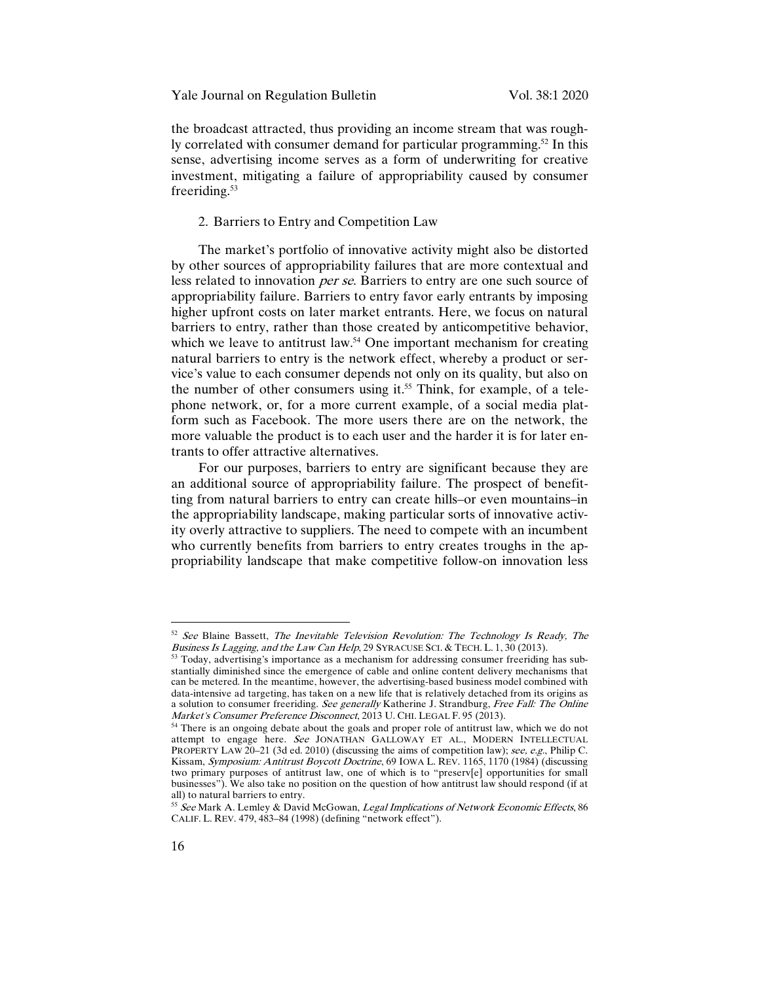the broadcast attracted, thus providing an income stream that was roughly correlated with consumer demand for particular programming.<sup>52</sup> In this sense, advertising income serves as a form of underwriting for creative investment, mitigating a failure of appropriability caused by consumer freeriding.<sup>53</sup>

## 2. Barriers to Entry and Competition Law

The market's portfolio of innovative activity might also be distorted by other sources of appropriability failures that are more contextual and less related to innovation per se. Barriers to entry are one such source of appropriability failure. Barriers to entry favor early entrants by imposing higher upfront costs on later market entrants. Here, we focus on natural barriers to entry, rather than those created by anticompetitive behavior, which we leave to antitrust law.<sup>54</sup> One important mechanism for creating natural barriers to entry is the network effect, whereby a product or service's value to each consumer depends not only on its quality, but also on the number of other consumers using it.<sup>55</sup> Think, for example, of a telephone network, or, for a more current example, of a social media platform such as Facebook. The more users there are on the network, the more valuable the product is to each user and the harder it is for later entrants to offer attractive alternatives.

For our purposes, barriers to entry are significant because they are an additional source of appropriability failure. The prospect of benefitting from natural barriers to entry can create hills–or even mountains–in the appropriability landscape, making particular sorts of innovative activity overly attractive to suppliers. The need to compete with an incumbent who currently benefits from barriers to entry creates troughs in the appropriability landscape that make competitive follow-on innovation less

 $52$  See Blaine Bassett, The Inevitable Television Revolution: The Technology Is Ready, The Business Is Lagging, and the Law Can Help, 29 SYRACUSE SCI. & TECH. L. 1, 30 (2013).

<sup>53</sup> Today, advertising's importance as a mechanism for addressing consumer freeriding has substantially diminished since the emergence of cable and online content delivery mechanisms that can be metered. In the meantime, however, the advertising-based business model combined with data-intensive ad targeting, has taken on a new life that is relatively detached from its origins as a solution to consumer freeriding. See generally Katherine J. Strandburg, Free Fall: The Online Market's Consumer Preference Disconnect, 2013 U. CHI. LEGAL F. 95 (2013).

<sup>&</sup>lt;sup>54</sup> There is an ongoing debate about the goals and proper role of antitrust law, which we do not attempt to engage here. See JONATHAN GALLOWAY ET AL., MODERN INTELLECTUAL PROPERTY LAW 20-21 (3d ed. 2010) (discussing the aims of competition law); see, e.g., Philip C. Kissam, Symposium: Antitrust Boycott Doctrine, 69 IOWA L. REV. 1165, 1170 (1984) (discussing two primary purposes of antitrust law, one of which is to "preserv[e] opportunities for small businesses"). We also take no position on the question of how antitrust law should respond (if at all) to natural barriers to entry.

<sup>55</sup> See Mark A. Lemley & David McGowan, Legal Implications of Network Economic Effects, 86 CALIF. L. REV. 479, 483–84 (1998) (defining "network effect").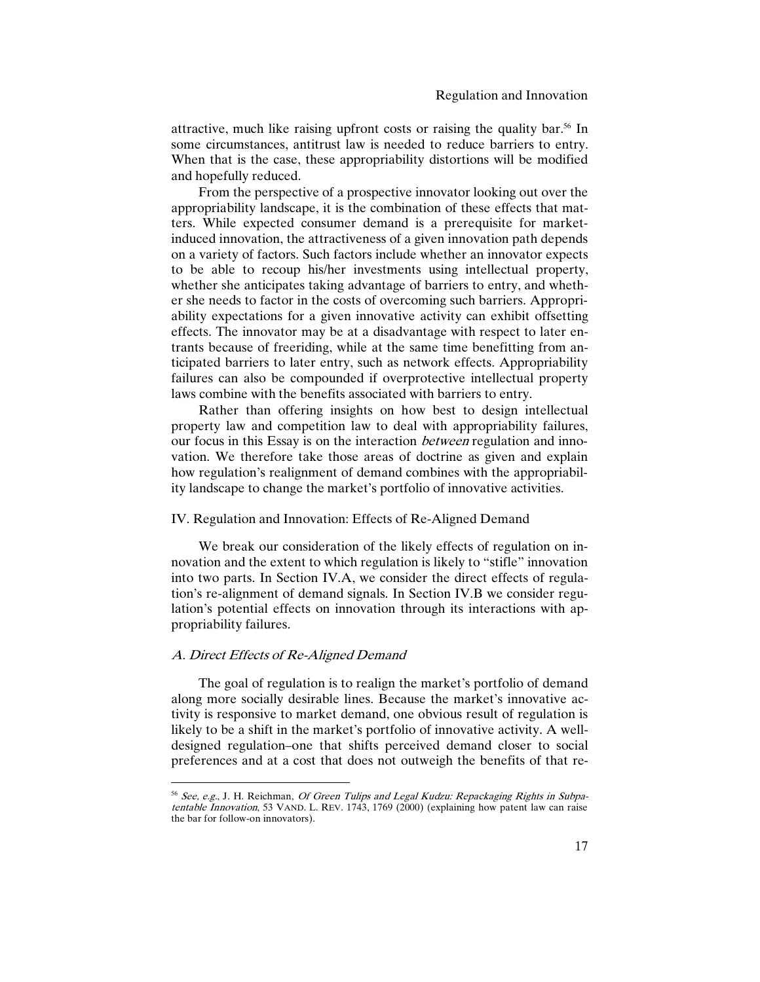attractive, much like raising upfront costs or raising the quality bar.56 In some circumstances, antitrust law is needed to reduce barriers to entry. When that is the case, these appropriability distortions will be modified and hopefully reduced.

From the perspective of a prospective innovator looking out over the appropriability landscape, it is the combination of these effects that matters. While expected consumer demand is a prerequisite for marketinduced innovation, the attractiveness of a given innovation path depends on a variety of factors. Such factors include whether an innovator expects to be able to recoup his/her investments using intellectual property, whether she anticipates taking advantage of barriers to entry, and whether she needs to factor in the costs of overcoming such barriers. Appropriability expectations for a given innovative activity can exhibit offsetting effects. The innovator may be at a disadvantage with respect to later entrants because of freeriding, while at the same time benefitting from anticipated barriers to later entry, such as network effects. Appropriability failures can also be compounded if overprotective intellectual property laws combine with the benefits associated with barriers to entry.

Rather than offering insights on how best to design intellectual property law and competition law to deal with appropriability failures, our focus in this Essay is on the interaction *between* regulation and innovation. We therefore take those areas of doctrine as given and explain how regulation's realignment of demand combines with the appropriability landscape to change the market's portfolio of innovative activities.

# IV. Regulation and Innovation: Effects of Re-Aligned Demand

We break our consideration of the likely effects of regulation on innovation and the extent to which regulation is likely to "stifle" innovation into two parts. In Section IV.A, we consider the direct effects of regulation's re-alignment of demand signals. In Section IV.B we consider regulation's potential effects on innovation through its interactions with appropriability failures.

## A. Direct Effects of Re-Aligned Demand

 $\overline{a}$ 

The goal of regulation is to realign the market's portfolio of demand along more socially desirable lines. Because the market's innovative activity is responsive to market demand, one obvious result of regulation is likely to be a shift in the market's portfolio of innovative activity. A welldesigned regulation–one that shifts perceived demand closer to social preferences and at a cost that does not outweigh the benefits of that re-

<sup>&</sup>lt;sup>56</sup> See, e.g., J. H. Reichman, Of Green Tulips and Legal Kudzu: Repackaging Rights in Subpatentable Innovation, 53 VAND. L. REV. 1743, 1769 (2000) (explaining how patent law can raise the bar for follow-on innovators).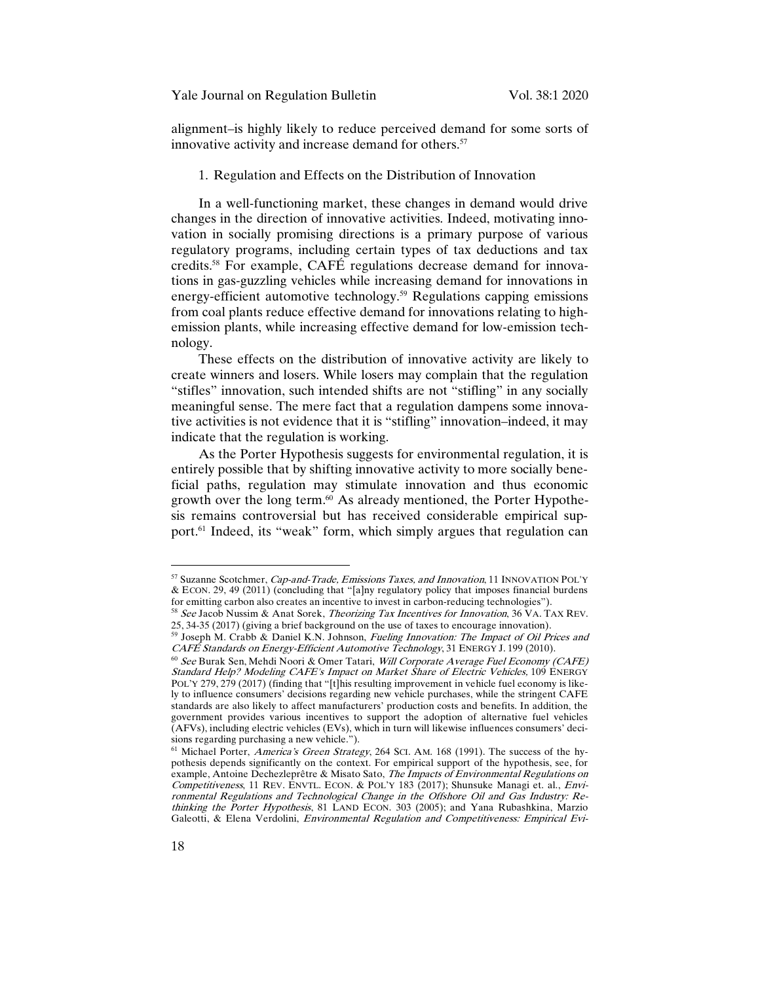alignment–is highly likely to reduce perceived demand for some sorts of innovative activity and increase demand for others.<sup>57</sup>

#### 1. Regulation and Effects on the Distribution of Innovation

In a well-functioning market, these changes in demand would drive changes in the direction of innovative activities. Indeed, motivating innovation in socially promising directions is a primary purpose of various regulatory programs, including certain types of tax deductions and tax credits.58 For example, CAFÉ regulations decrease demand for innovations in gas-guzzling vehicles while increasing demand for innovations in energy-efficient automotive technology.<sup>59</sup> Regulations capping emissions from coal plants reduce effective demand for innovations relating to highemission plants, while increasing effective demand for low-emission technology.

These effects on the distribution of innovative activity are likely to create winners and losers. While losers may complain that the regulation "stifles" innovation, such intended shifts are not "stifling" in any socially meaningful sense. The mere fact that a regulation dampens some innovative activities is not evidence that it is "stifling" innovation–indeed, it may indicate that the regulation is working.

As the Porter Hypothesis suggests for environmental regulation, it is entirely possible that by shifting innovative activity to more socially beneficial paths, regulation may stimulate innovation and thus economic growth over the long term.<sup>60</sup> As already mentioned, the Porter Hypothesis remains controversial but has received considerable empirical support.<sup>61</sup> Indeed, its "weak" form, which simply argues that regulation can

<sup>57</sup> Suzanne Scotchmer, Cap-and-Trade, Emissions Taxes, and Innovation, 11 INNOVATION POL'Y & ECON. 29, 49 (2011) (concluding that "[a]ny regulatory policy that imposes financial burdens for emitting carbon also creates an incentive to invest in carbon-reducing technologies").

<sup>&</sup>lt;sup>58</sup> See Jacob Nussim & Anat Sorek, *Theorizing Tax Incentives for Innovation*, 36 VA. TAX REV. 25, 34-35 (2017) (giving a brief background on the use of taxes to encourage innovation).

<sup>&</sup>lt;sup>59</sup> Joseph M. Crabb & Daniel K.N. Johnson, Fueling Innovation: The Impact of Oil Prices and CAFÉ Standards on Energy-Efficient Automotive Technology, 31 ENERGY J. 199 (2010).

<sup>&</sup>lt;sup>60</sup> See Burak Sen, Mehdi Noori & Omer Tatari, Will Corporate Average Fuel Economy (CAFE) Standard Help? Modeling CAFE's Impact on Market Share of Electric Vehicles, 109 ENERGY POL'Y 279, 279 (2017) (finding that "[t]his resulting improvement in vehicle fuel economy is likely to influence consumers' decisions regarding new vehicle purchases, while the stringent CAFE standards are also likely to affect manufacturers' production costs and benefits. In addition, the government provides various incentives to support the adoption of alternative fuel vehicles (AFVs), including electric vehicles (EVs), which in turn will likewise influences consumers' decisions regarding purchasing a new vehicle.").

<sup>&</sup>lt;sup>61</sup> Michael Porter, America's Green Strategy, 264 SCI. AM. 168 (1991). The success of the hypothesis depends significantly on the context. For empirical support of the hypothesis, see, for example, Antoine Dechezleprêtre & Misato Sato, The Impacts of Environmental Regulations on Competitiveness, 11 REV. ENVTL. ECON. & POL'Y 183 (2017); Shunsuke Managi et. al., *Envi*ronmental Regulations and Technological Change in the Offshore Oil and Gas Industry: Rethinking the Porter Hypothesis, 81 LAND ECON. 303 (2005); and Yana Rubashkina, Marzio Galeotti, & Elena Verdolini, *Environmental Regulation and Competitiveness: Empirical Evi-*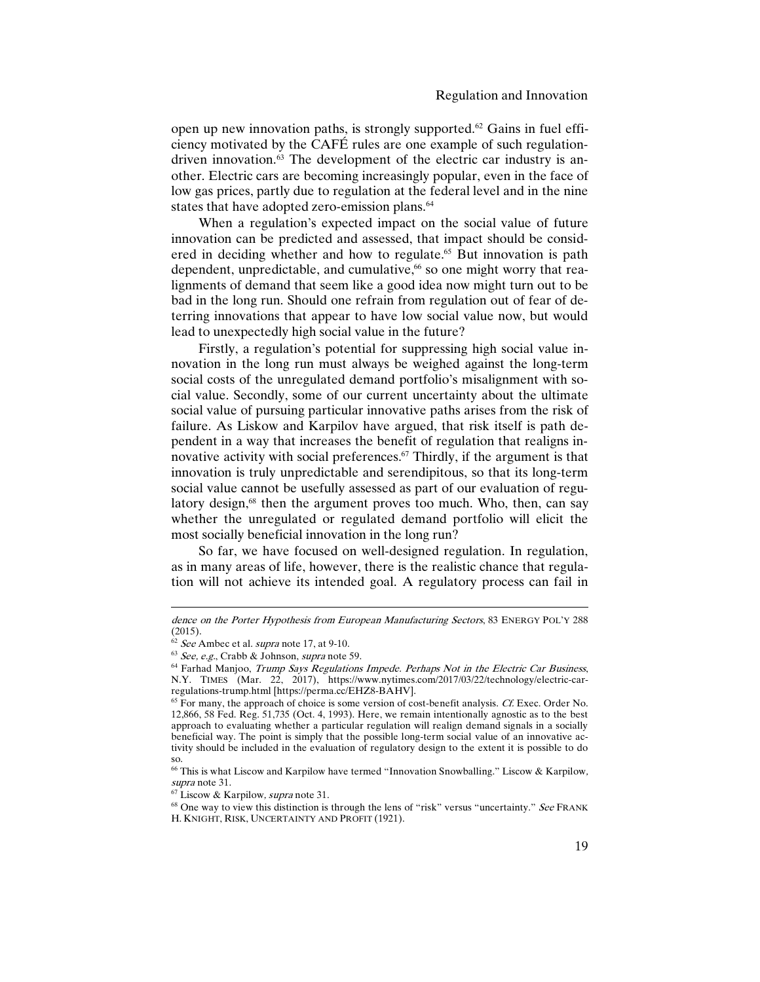open up new innovation paths, is strongly supported.62 Gains in fuel efficiency motivated by the CAFÉ rules are one example of such regulationdriven innovation.63 The development of the electric car industry is another. Electric cars are becoming increasingly popular, even in the face of low gas prices, partly due to regulation at the federal level and in the nine states that have adopted zero-emission plans.<sup>64</sup>

When a regulation's expected impact on the social value of future innovation can be predicted and assessed, that impact should be considered in deciding whether and how to regulate.<sup>65</sup> But innovation is path dependent, unpredictable, and cumulative,<sup>66</sup> so one might worry that realignments of demand that seem like a good idea now might turn out to be bad in the long run. Should one refrain from regulation out of fear of deterring innovations that appear to have low social value now, but would lead to unexpectedly high social value in the future?

Firstly, a regulation's potential for suppressing high social value innovation in the long run must always be weighed against the long-term social costs of the unregulated demand portfolio's misalignment with social value. Secondly, some of our current uncertainty about the ultimate social value of pursuing particular innovative paths arises from the risk of failure. As Liskow and Karpilov have argued, that risk itself is path dependent in a way that increases the benefit of regulation that realigns innovative activity with social preferences.<sup>67</sup> Thirdly, if the argument is that innovation is truly unpredictable and serendipitous, so that its long-term social value cannot be usefully assessed as part of our evaluation of regulatory design,<sup>68</sup> then the argument proves too much. Who, then, can say whether the unregulated or regulated demand portfolio will elicit the most socially beneficial innovation in the long run?

So far, we have focused on well-designed regulation. In regulation, as in many areas of life, however, there is the realistic chance that regulation will not achieve its intended goal. A regulatory process can fail in

dence on the Porter Hypothesis from European Manufacturing Sectors, 83 ENERGY POL'Y 288 (2015).

 $62$  See Ambec et al. supra note 17, at 9-10.

 $63$  See, e.g., Crabb & Johnson, supra note 59.

<sup>&</sup>lt;sup>64</sup> Farhad Manjoo, Trump Says Regulations Impede. Perhaps Not in the Electric Car Business, N.Y. TIMES (Mar. 22, 2017), https://www.nytimes.com/2017/03/22/technology/electric-car-<br>regulations-trump.html [https://perma.cc/EHZ8-BAHV].

 $65$  For many, the approach of choice is some version of cost-benefit analysis. Cf. Exec. Order No. 12,866, 58 Fed. Reg. 51,735 (Oct. 4, 1993). Here, we remain intentionally agnostic as to the best approach to evaluating whether a particular regulation will realign demand signals in a socially beneficial way. The point is simply that the possible long-term social value of an innovative activity should be included in the evaluation of regulatory design to the extent it is possible to do so.

<sup>66</sup> This is what Liscow and Karpilow have termed "Innovation Snowballing." Liscow & Karpilow, supra note 31.

<sup>67</sup> Liscow & Karpilow, supra note 31.

<sup>&</sup>lt;sup>68</sup> One way to view this distinction is through the lens of "risk" versus "uncertainty." See FRANK H. KNIGHT, RISK, UNCERTAINTY AND PROFIT (1921).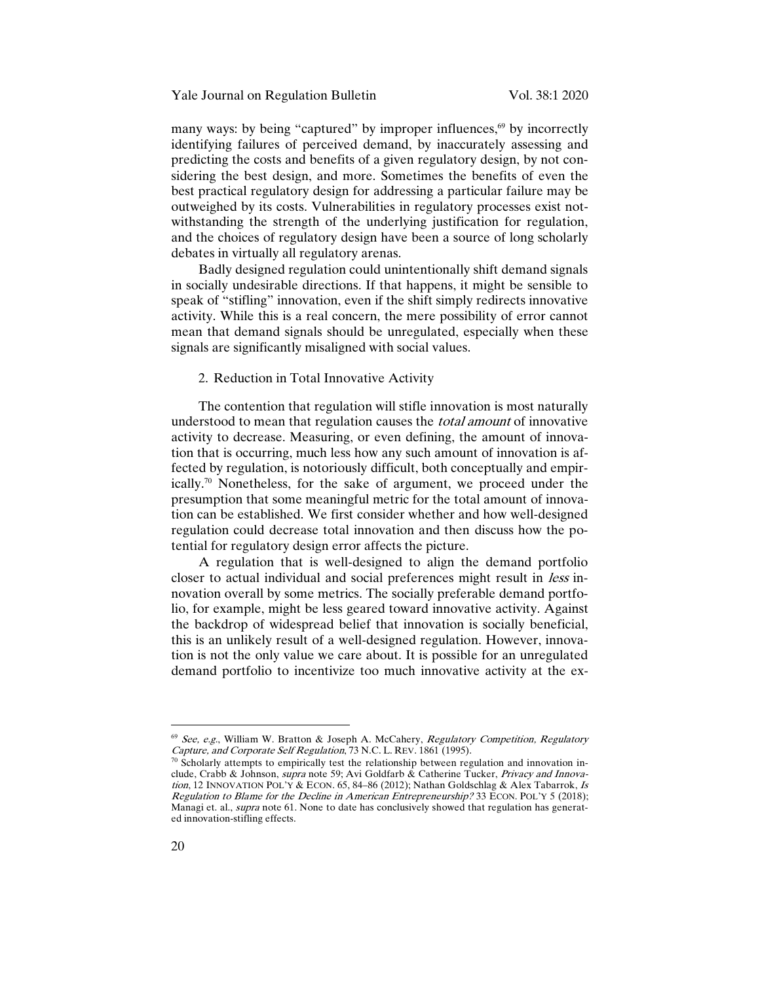many ways: by being "captured" by improper influences,<sup>69</sup> by incorrectly identifying failures of perceived demand, by inaccurately assessing and predicting the costs and benefits of a given regulatory design, by not considering the best design, and more. Sometimes the benefits of even the best practical regulatory design for addressing a particular failure may be outweighed by its costs. Vulnerabilities in regulatory processes exist notwithstanding the strength of the underlying justification for regulation, and the choices of regulatory design have been a source of long scholarly debates in virtually all regulatory arenas.

Badly designed regulation could unintentionally shift demand signals in socially undesirable directions. If that happens, it might be sensible to speak of "stifling" innovation, even if the shift simply redirects innovative activity. While this is a real concern, the mere possibility of error cannot mean that demand signals should be unregulated, especially when these signals are significantly misaligned with social values.

#### 2. Reduction in Total Innovative Activity

The contention that regulation will stifle innovation is most naturally understood to mean that regulation causes the total amount of innovative activity to decrease. Measuring, or even defining, the amount of innovation that is occurring, much less how any such amount of innovation is affected by regulation, is notoriously difficult, both conceptually and empirically.70 Nonetheless, for the sake of argument, we proceed under the presumption that some meaningful metric for the total amount of innovation can be established. We first consider whether and how well-designed regulation could decrease total innovation and then discuss how the potential for regulatory design error affects the picture.

A regulation that is well-designed to align the demand portfolio closer to actual individual and social preferences might result in less innovation overall by some metrics. The socially preferable demand portfolio, for example, might be less geared toward innovative activity. Against the backdrop of widespread belief that innovation is socially beneficial, this is an unlikely result of a well-designed regulation. However, innovation is not the only value we care about. It is possible for an unregulated demand portfolio to incentivize too much innovative activity at the ex-

 $69$  See, e.g., William W. Bratton & Joseph A. McCahery, Regulatory Competition, Regulatory Capture, and Corporate Self Regulation, 73 N.C. L. REV. 1861 (1995).

 $70$  Scholarly attempts to empirically test the relationship between regulation and innovation include, Crabb & Johnson, supra note 59; Avi Goldfarb & Catherine Tucker, Privacy and Innovation, 12 INNOVATION POL'Y & ECON. 65, 84-86 (2012); Nathan Goldschlag & Alex Tabarrok, Is Regulation to Blame for the Decline in American Entrepreneurship? 33 ECON. POL'Y 5 (2018); Managi et. al., *supra* note 61. None to date has conclusively showed that regulation has generated innovation-stifling effects.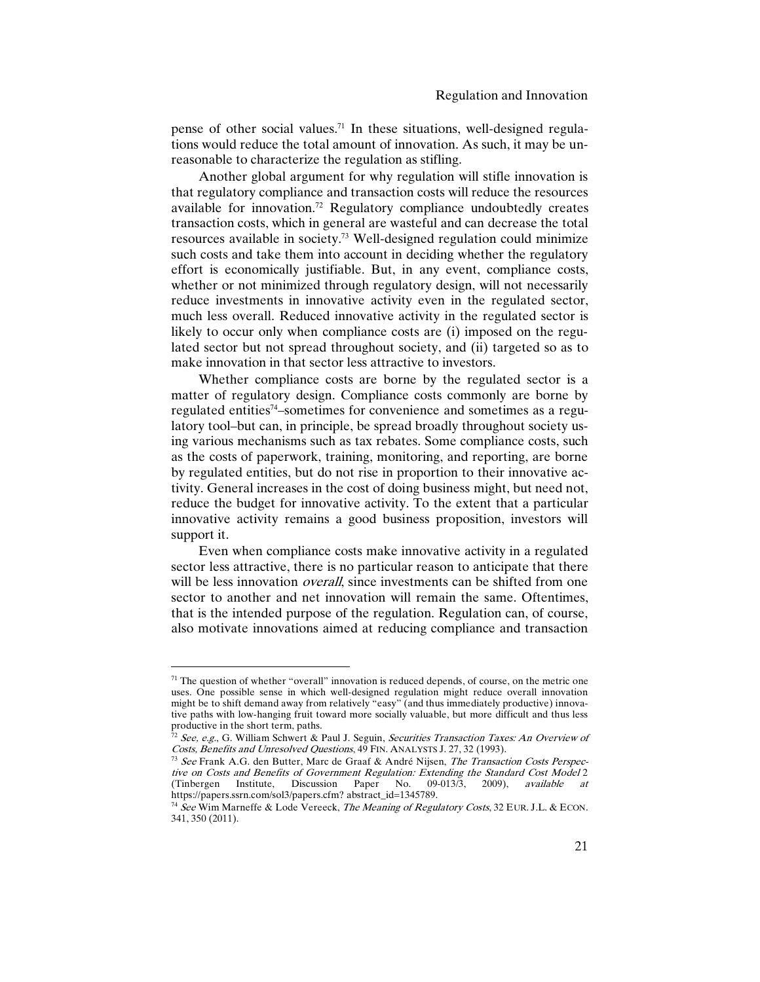pense of other social values.<sup>71</sup> In these situations, well-designed regulations would reduce the total amount of innovation. As such, it may be unreasonable to characterize the regulation as stifling.

Another global argument for why regulation will stifle innovation is that regulatory compliance and transaction costs will reduce the resources available for innovation.72 Regulatory compliance undoubtedly creates transaction costs, which in general are wasteful and can decrease the total resources available in society.73 Well-designed regulation could minimize such costs and take them into account in deciding whether the regulatory effort is economically justifiable. But, in any event, compliance costs, whether or not minimized through regulatory design, will not necessarily reduce investments in innovative activity even in the regulated sector, much less overall. Reduced innovative activity in the regulated sector is likely to occur only when compliance costs are (i) imposed on the regulated sector but not spread throughout society, and (ii) targeted so as to make innovation in that sector less attractive to investors.

Whether compliance costs are borne by the regulated sector is a matter of regulatory design. Compliance costs commonly are borne by regulated entities74–sometimes for convenience and sometimes as a regulatory tool–but can, in principle, be spread broadly throughout society using various mechanisms such as tax rebates. Some compliance costs, such as the costs of paperwork, training, monitoring, and reporting, are borne by regulated entities, but do not rise in proportion to their innovative activity. General increases in the cost of doing business might, but need not, reduce the budget for innovative activity. To the extent that a particular innovative activity remains a good business proposition, investors will support it.

Even when compliance costs make innovative activity in a regulated sector less attractive, there is no particular reason to anticipate that there will be less innovation *overall*, since investments can be shifted from one sector to another and net innovation will remain the same. Oftentimes, that is the intended purpose of the regulation. Regulation can, of course, also motivate innovations aimed at reducing compliance and transaction

 $71$  The question of whether "overall" innovation is reduced depends, of course, on the metric one uses. One possible sense in which well-designed regulation might reduce overall innovation might be to shift demand away from relatively "easy" (and thus immediately productive) innovative paths with low-hanging fruit toward more socially valuable, but more difficult and thus less

<sup>&</sup>lt;sup>72</sup> See, e.g., G. William Schwert & Paul J. Seguin, Securities Transaction Taxes: An Overview of Costs, Benefits and Unresolved Questions, 49 FIN. ANALYSTS J. 27, 32 (1993).

<sup>&</sup>lt;sup>73</sup> See Frank A.G. den Butter, Marc de Graaf & André Nijsen, The Transaction Costs Perspective on Costs and Benefits of Government Regulation: Extending the Standard Cost Model 2<br>(Tinbergen Institute, Discussion Paper No. 09-013/3, 2009), available at (Tinbergen Institute, Discussion Paper No. 09-013/3, 2009), available at https://papers.ssrn.com/sol3/papers.cfm? abstract\_id=1345789.

<sup>&</sup>lt;sup>74</sup> See Wim Marneffe & Lode Vereeck, The Meaning of Regulatory Costs, 32 EUR. J.L. & ECON. 341, 350 (2011).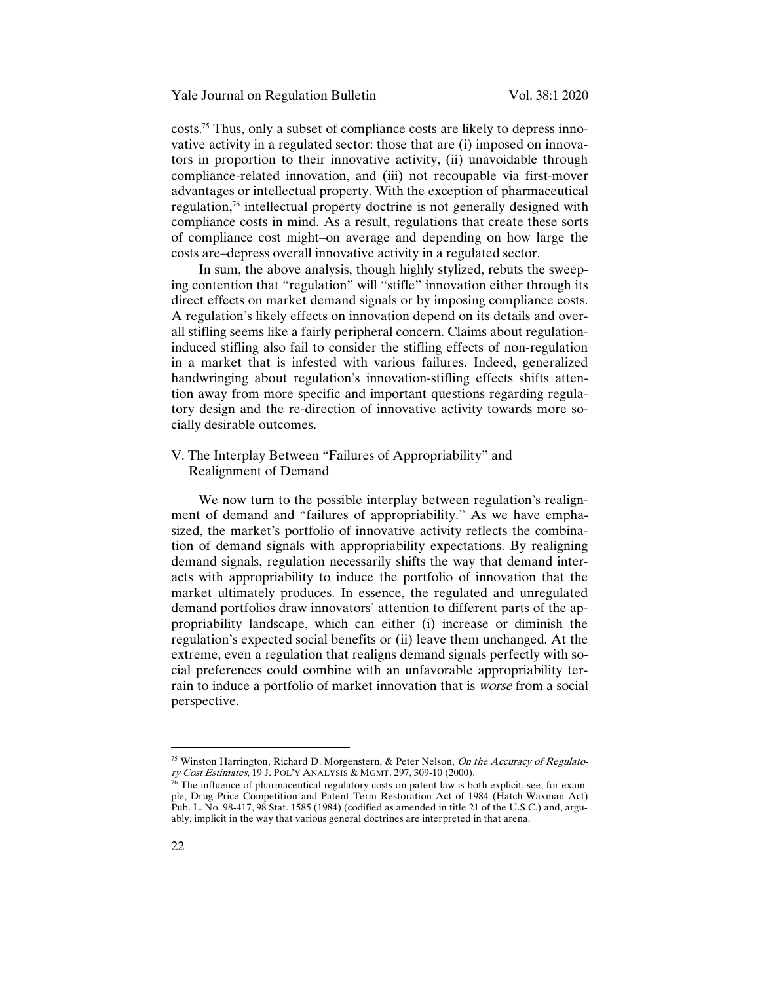costs.75 Thus, only a subset of compliance costs are likely to depress innovative activity in a regulated sector: those that are (i) imposed on innovators in proportion to their innovative activity, (ii) unavoidable through compliance-related innovation, and (iii) not recoupable via first-mover advantages or intellectual property. With the exception of pharmaceutical regulation,76 intellectual property doctrine is not generally designed with compliance costs in mind. As a result, regulations that create these sorts of compliance cost might–on average and depending on how large the costs are–depress overall innovative activity in a regulated sector.

In sum, the above analysis, though highly stylized, rebuts the sweeping contention that "regulation" will "stifle" innovation either through its direct effects on market demand signals or by imposing compliance costs. A regulation's likely effects on innovation depend on its details and overall stifling seems like a fairly peripheral concern. Claims about regulationinduced stifling also fail to consider the stifling effects of non-regulation in a market that is infested with various failures. Indeed, generalized handwringing about regulation's innovation-stifling effects shifts attention away from more specific and important questions regarding regulatory design and the re-direction of innovative activity towards more socially desirable outcomes.

# V. The Interplay Between "Failures of Appropriability" and Realignment of Demand

We now turn to the possible interplay between regulation's realignment of demand and "failures of appropriability." As we have emphasized, the market's portfolio of innovative activity reflects the combination of demand signals with appropriability expectations. By realigning demand signals, regulation necessarily shifts the way that demand interacts with appropriability to induce the portfolio of innovation that the market ultimately produces. In essence, the regulated and unregulated demand portfolios draw innovators' attention to different parts of the appropriability landscape, which can either (i) increase or diminish the regulation's expected social benefits or (ii) leave them unchanged. At the extreme, even a regulation that realigns demand signals perfectly with social preferences could combine with an unfavorable appropriability terrain to induce a portfolio of market innovation that is worse from a social perspective.

<sup>&</sup>lt;sup>75</sup> Winston Harrington, Richard D. Morgenstern, & Peter Nelson, On the Accuracy of Regulatory Cost Estimates, 19 J. POL'Y ANALYSIS & MGMT. 297, 309-10 (2000).

 $76$  The influence of pharmaceutical regulatory costs on patent law is both explicit, see, for example, Drug Price Competition and Patent Term Restoration Act of 1984 (Hatch-Waxman Act) Pub. L. No. 98-417, 98 Stat. 1585 (1984) (codified as amended in title 21 of the U.S.C.) and, arguably, implicit in the way that various general doctrines are interpreted in that arena.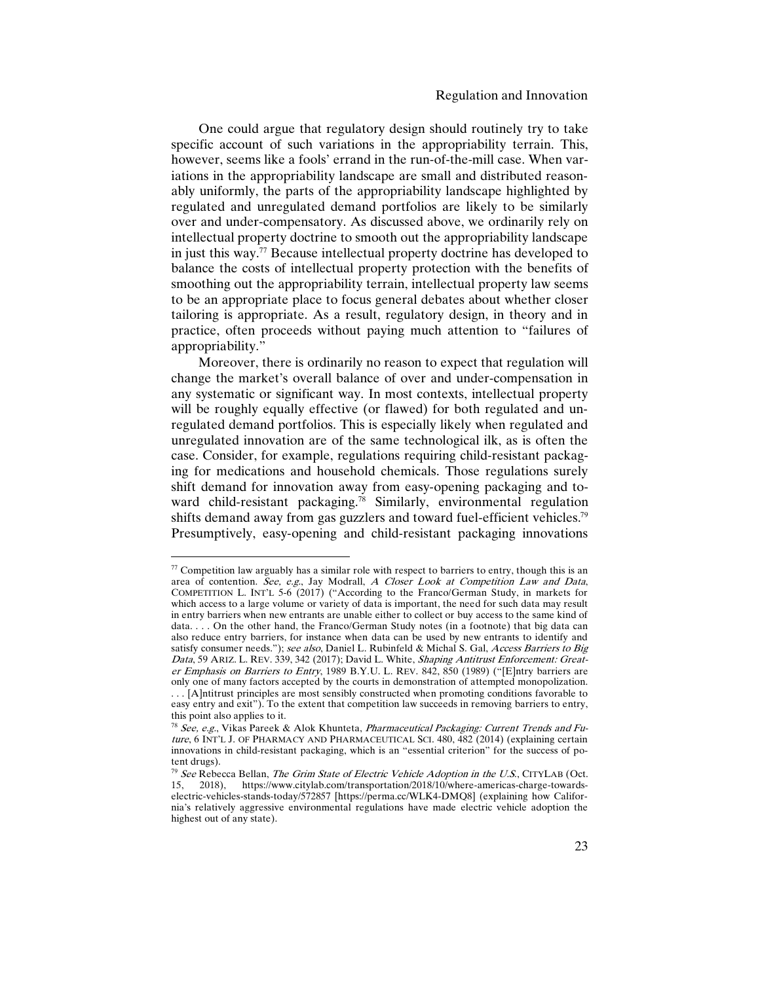One could argue that regulatory design should routinely try to take specific account of such variations in the appropriability terrain. This, however, seems like a fools' errand in the run-of-the-mill case. When variations in the appropriability landscape are small and distributed reasonably uniformly, the parts of the appropriability landscape highlighted by regulated and unregulated demand portfolios are likely to be similarly over and under-compensatory. As discussed above, we ordinarily rely on intellectual property doctrine to smooth out the appropriability landscape in just this way.77 Because intellectual property doctrine has developed to balance the costs of intellectual property protection with the benefits of smoothing out the appropriability terrain, intellectual property law seems to be an appropriate place to focus general debates about whether closer tailoring is appropriate. As a result, regulatory design, in theory and in practice, often proceeds without paying much attention to "failures of appropriability."

Moreover, there is ordinarily no reason to expect that regulation will change the market's overall balance of over and under-compensation in any systematic or significant way. In most contexts, intellectual property will be roughly equally effective (or flawed) for both regulated and unregulated demand portfolios. This is especially likely when regulated and unregulated innovation are of the same technological ilk, as is often the case. Consider, for example, regulations requiring child-resistant packaging for medications and household chemicals. Those regulations surely shift demand for innovation away from easy-opening packaging and toward child-resistant packaging.78 Similarly, environmental regulation shifts demand away from gas guzzlers and toward fuel-efficient vehicles.<sup>79</sup> Presumptively, easy-opening and child-resistant packaging innovations

 $77$  Competition law arguably has a similar role with respect to barriers to entry, though this is an area of contention. See, e.g., Jay Modrall, A Closer Look at Competition Law and Data, COMPETITION L. INT'L 5-6 (2017) ("According to the Franco/German Study, in markets for which access to a large volume or variety of data is important, the need for such data may result in entry barriers when new entrants are unable either to collect or buy access to the same kind of data. . . . On the other hand, the Franco/German Study notes (in a footnote) that big data can also reduce entry barriers, for instance when data can be used by new entrants to identify and satisfy consumer needs."); see also, Daniel L. Rubinfeld & Michal S. Gal, Access Barriers to Big Data, 59 ARIZ. L. REV. 339, 342 (2017); David L. White, Shaping Antitrust Enforcement: Greater Emphasis on Barriers to Entry, 1989 B.Y.U. L. REV. 842, 850 (1989) ("[E]ntry barriers are only one of many factors accepted by the courts in demonstration of attempted monopolization.

<sup>. . . [</sup>A]ntitrust principles are most sensibly constructed when promoting conditions favorable to easy entry and exit"). To the extent that competition law succeeds in removing barriers to entry, this point also applies to it.

<sup>&</sup>lt;sup>78</sup> See, e.g., Vikas Pareek & Alok Khunteta, Pharmaceutical Packaging: Current Trends and Future, 6 INT'L J. OF PHARMACY AND PHARMACEUTICAL SCI. 480, 482 (2014) (explaining certain innovations in child-resistant packaging, which is an "essential criterion" for the success of potent drugs).

 $79$  See Rebecca Bellan, The Grim State of Electric Vehicle Adoption in the U.S., CITYLAB (Oct. 15, 2018), https://www.citylab.com/transportation/2018/10/where-americas-charge-towardselectric-vehicles-stands-today/572857 [https://perma.cc/WLK4-DMQ8] (explaining how California's relatively aggressive environmental regulations have made electric vehicle adoption the highest out of any state).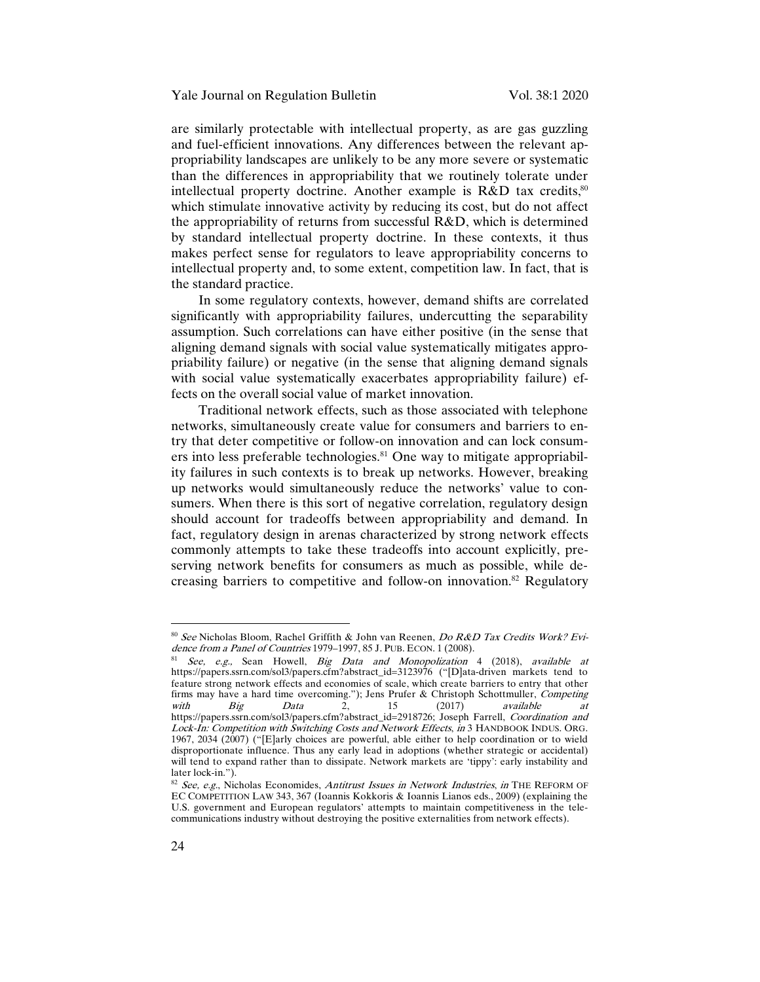are similarly protectable with intellectual property, as are gas guzzling and fuel-efficient innovations. Any differences between the relevant appropriability landscapes are unlikely to be any more severe or systematic than the differences in appropriability that we routinely tolerate under intellectual property doctrine. Another example is R&D tax credits,<sup>80</sup> which stimulate innovative activity by reducing its cost, but do not affect the appropriability of returns from successful R&D, which is determined by standard intellectual property doctrine. In these contexts, it thus makes perfect sense for regulators to leave appropriability concerns to intellectual property and, to some extent, competition law. In fact, that is the standard practice.

In some regulatory contexts, however, demand shifts are correlated significantly with appropriability failures, undercutting the separability assumption. Such correlations can have either positive (in the sense that aligning demand signals with social value systematically mitigates appropriability failure) or negative (in the sense that aligning demand signals with social value systematically exacerbates appropriability failure) effects on the overall social value of market innovation.

Traditional network effects, such as those associated with telephone networks, simultaneously create value for consumers and barriers to entry that deter competitive or follow-on innovation and can lock consumers into less preferable technologies.<sup>81</sup> One way to mitigate appropriability failures in such contexts is to break up networks. However, breaking up networks would simultaneously reduce the networks' value to consumers. When there is this sort of negative correlation, regulatory design should account for tradeoffs between appropriability and demand. In fact, regulatory design in arenas characterized by strong network effects commonly attempts to take these tradeoffs into account explicitly, preserving network benefits for consumers as much as possible, while decreasing barriers to competitive and follow-on innovation.82 Regulatory

<sup>80</sup> See Nicholas Bloom, Rachel Griffith & John van Reenen, Do R&D Tax Credits Work? Evidence from a Panel of Countries 1979-1997, 85 J. PUB. ECON. 1 (2008).

 $81$  See, e.g., Sean Howell, Big Data and Monopolization 4 (2018), available at https://papers.ssrn.com/sol3/papers.cfm?abstract\_id=3123976 ("[D]ata-driven markets tend to feature strong network effects and economies of scale, which create barriers to entry that other firms may have a hard time overcoming."); Jens Prufer & Christoph Schottmuller, Competing with Big Data 2, 15 (2017) available at https://papers.ssrn.com/sol3/papers.cfm?abstract\_id=2918726; Joseph Farrell, *Coordination and* Lock-In: Competition with Switching Costs and Network Effects, in 3 HANDBOOK INDUS. ORG. 1967, 2034 (2007) ("[E]arly choices are powerful, able either to help coordination or to wield disproportionate influence. Thus any early lead in adoptions (whether strategic or accidental) will tend to expand rather than to dissipate. Network markets are 'tippy': early instability and later lock-in.").

<sup>82</sup> See, e.g., Nicholas Economides, Antitrust Issues in Network Industries, in THE REFORM OF EC COMPETITION LAW 343, 367 (Ioannis Kokkoris & Ioannis Lianos eds., 2009) (explaining the U.S. government and European regulators' attempts to maintain competitiveness in the telecommunications industry without destroying the positive externalities from network effects).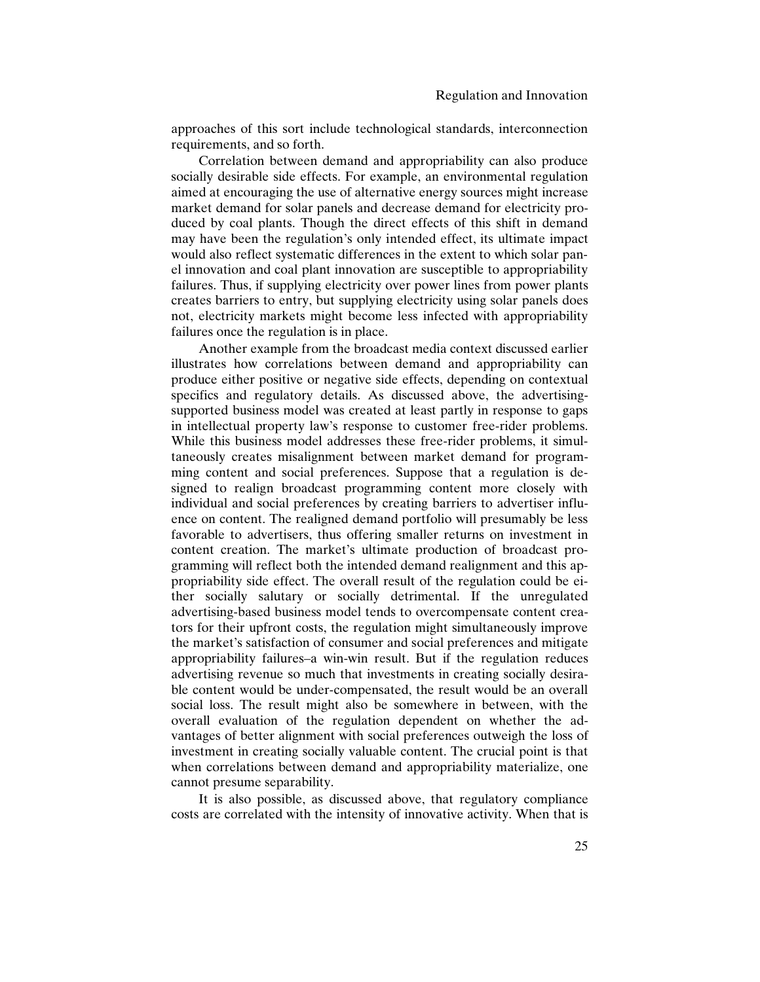approaches of this sort include technological standards, interconnection requirements, and so forth.

Correlation between demand and appropriability can also produce socially desirable side effects. For example, an environmental regulation aimed at encouraging the use of alternative energy sources might increase market demand for solar panels and decrease demand for electricity produced by coal plants. Though the direct effects of this shift in demand may have been the regulation's only intended effect, its ultimate impact would also reflect systematic differences in the extent to which solar panel innovation and coal plant innovation are susceptible to appropriability failures. Thus, if supplying electricity over power lines from power plants creates barriers to entry, but supplying electricity using solar panels does not, electricity markets might become less infected with appropriability failures once the regulation is in place.

Another example from the broadcast media context discussed earlier illustrates how correlations between demand and appropriability can produce either positive or negative side effects, depending on contextual specifics and regulatory details. As discussed above, the advertisingsupported business model was created at least partly in response to gaps in intellectual property law's response to customer free-rider problems. While this business model addresses these free-rider problems, it simultaneously creates misalignment between market demand for programming content and social preferences. Suppose that a regulation is designed to realign broadcast programming content more closely with individual and social preferences by creating barriers to advertiser influence on content. The realigned demand portfolio will presumably be less favorable to advertisers, thus offering smaller returns on investment in content creation. The market's ultimate production of broadcast programming will reflect both the intended demand realignment and this appropriability side effect. The overall result of the regulation could be either socially salutary or socially detrimental. If the unregulated advertising-based business model tends to overcompensate content creators for their upfront costs, the regulation might simultaneously improve the market's satisfaction of consumer and social preferences and mitigate appropriability failures–a win-win result. But if the regulation reduces advertising revenue so much that investments in creating socially desirable content would be under-compensated, the result would be an overall social loss. The result might also be somewhere in between, with the overall evaluation of the regulation dependent on whether the advantages of better alignment with social preferences outweigh the loss of investment in creating socially valuable content. The crucial point is that when correlations between demand and appropriability materialize, one cannot presume separability.

It is also possible, as discussed above, that regulatory compliance costs are correlated with the intensity of innovative activity. When that is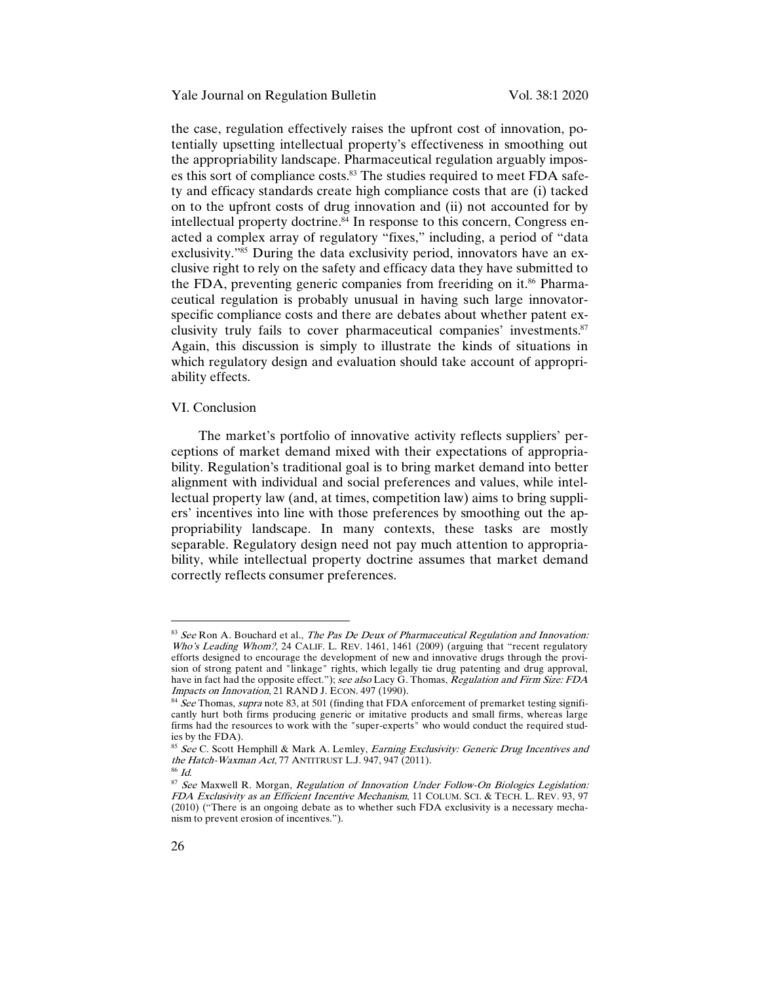the case, regulation effectively raises the upfront cost of innovation, potentially upsetting intellectual property's effectiveness in smoothing out the appropriability landscape. Pharmaceutical regulation arguably imposes this sort of compliance costs.<sup>83</sup> The studies required to meet FDA safety and efficacy standards create high compliance costs that are (i) tacked on to the upfront costs of drug innovation and (ii) not accounted for by intellectual property doctrine.<sup>84</sup> In response to this concern, Congress enacted a complex array of regulatory "fixes," including, a period of "data exclusivity."85 During the data exclusivity period, innovators have an exclusive right to rely on the safety and efficacy data they have submitted to the FDA, preventing generic companies from freeriding on it.<sup>86</sup> Pharmaceutical regulation is probably unusual in having such large innovatorspecific compliance costs and there are debates about whether patent exclusivity truly fails to cover pharmaceutical companies' investments.87 Again, this discussion is simply to illustrate the kinds of situations in which regulatory design and evaluation should take account of appropriability effects.

#### VI. Conclusion

The market's portfolio of innovative activity reflects suppliers' perceptions of market demand mixed with their expectations of appropriability. Regulation's traditional goal is to bring market demand into better alignment with individual and social preferences and values, while intellectual property law (and, at times, competition law) aims to bring suppliers' incentives into line with those preferences by smoothing out the appropriability landscape. In many contexts, these tasks are mostly separable. Regulatory design need not pay much attention to appropriability, while intellectual property doctrine assumes that market demand correctly reflects consumer preferences.

 $83$  See Ron A. Bouchard et al., The Pas De Deux of Pharmaceutical Regulation and Innovation: Who's Leading Whom?, 24 CALIF. L. REV. 1461, 1461 (2009) (arguing that "recent regulatory efforts designed to encourage the development of new and innovative drugs through the provision of strong patent and "linkage" rights, which legally tie drug patenting and drug approval, have in fact had the opposite effect."); see also Lacy G. Thomas, Regulation and Firm Size: FDA Impacts on Innovation, 21 RAND J. ECON. 497 (1990).

<sup>&</sup>lt;sup>84</sup> See Thomas, supra note 83, at 501 (finding that FDA enforcement of premarket testing significantly hurt both firms producing generic or imitative products and small firms, whereas large firms had the resources to work with the "super-experts" who would conduct the required studies by the FDA).

<sup>&</sup>lt;sup>85</sup> See C. Scott Hemphill & Mark A. Lemley, Earning Exclusivity: Generic Drug Incentives and the Hatch-Waxman Act, 77 ANTITRUST L.J. 947, 947 (2011).

 $^{86}$   $\emph{Id.}$ 

<sup>87</sup> See Maxwell R. Morgan, Regulation of Innovation Under Follow-On Biologics Legislation: FDA Exclusivity as an Efficient Incentive Mechanism, 11 COLUM. SCI. & TECH. L. REV. 93, 97 (2010) ("There is an ongoing debate as to whether such FDA exclusivity is a necessary mechanism to prevent erosion of incentives.").